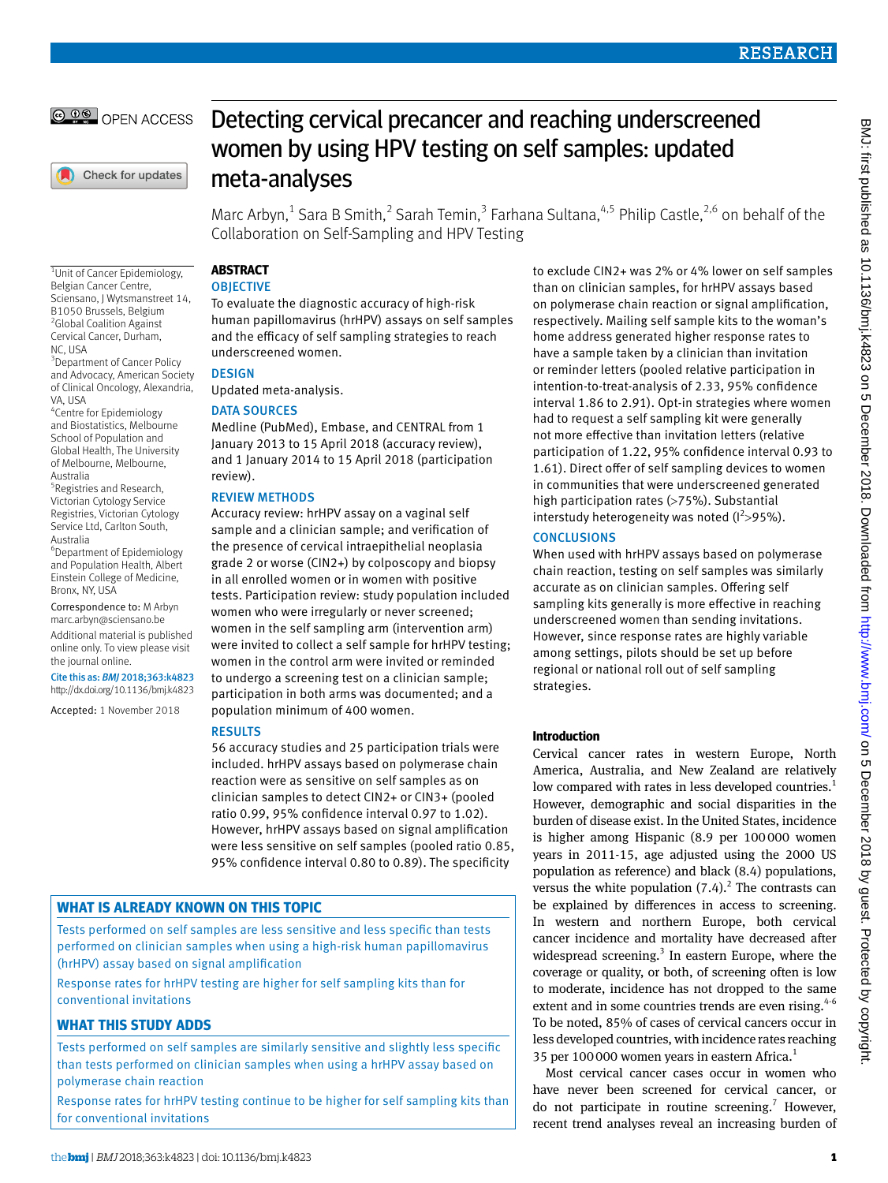# © 0 OPEN ACCESS

Check for updates

<sup>1</sup>Unit of Cancer Epidemiology, Belgian Cancer Centre, Sciensano, J Wytsmanstreet 14, B1050 Brussels, Belgium <sup>2</sup>Global Coalition Against Cervical Cancer, Durham,

<sup>3</sup> Department of Cancer Policy and Advocacy, American Society of Clinical Oncology, Alexandria,

4 Centre for Epidemiology and Biostatistics, Melbourne School of Population and Global Health, The University of Melbourne, Melbourne,

5 Registries and Research, Victorian Cytology Service Registries, Victorian Cytology Service Ltd, Carlton South,

6 Department of Epidemiology and Population Health, Albert Einstein College of Medicine,

Correspondence to: M Arbyn [marc.arbyn@sciensano.be](mailto:marc.arbyn@sciensano.be) Additional material is published online only. To view please visit

Cite this as: *BMJ* 2018;363:k4823 http://dx.doi.org/10.1136/bmj.k4823 Accepted: 1 November 2018

NC, USA

VA, USA

Australia

Australia

Bronx, NY, USA

the journal online.

# Detecting cervical precancer and reaching underscreened women by using HPV testing on self samples: updated meta-analyses

Marc Arbyn,<sup>1</sup> Sara B Smith,<sup>2</sup> Sarah Temin,<sup>3</sup> Farhana Sultana,<sup>4,5</sup> Philip Castle,<sup>2,6</sup> on behalf of the Collaboration on Self-Sampling and HPV Testing

# **ABSTRACT OBJECTIVE**

To evaluate the diagnostic accuracy of high-risk human papillomavirus (hrHPV) assays on self samples and the efficacy of self sampling strategies to reach underscreened women.

**DESIGN** 

Updated meta-analysis.

# DATA SOURCES

Medline (PubMed), Embase, and CENTRAL from 1 January 2013 to 15 April 2018 (accuracy review), and 1 January 2014 to 15 April 2018 (participation review).

# REVIEW METHODS

Accuracy review: hrHPV assay on a vaginal self sample and a clinician sample; and verification of the presence of cervical intraepithelial neoplasia grade 2 or worse (CIN2+) by colposcopy and biopsy in all enrolled women or in women with positive tests. Participation review: study population included women who were irregularly or never screened; women in the self sampling arm (intervention arm) were invited to collect a self sample for hrHPV testing; women in the control arm were invited or reminded to undergo a screening test on a clinician sample; participation in both arms was documented; and a population minimum of 400 women.

# RESULTS

56 accuracy studies and 25 participation trials were included. hrHPV assays based on polymerase chain reaction were as sensitive on self samples as on clinician samples to detect CIN2+ or CIN3+ (pooled ratio 0.99, 95% confidence interval 0.97 to 1.02). However, hrHPV assays based on signal amplification were less sensitive on self samples (pooled ratio 0.85, 95% confidence interval 0.80 to 0.89). The specificity

# **WHAT IS ALREADY KNOWN ON THIS TOPIC**

Tests performed on self samples are less sensitive and less specific than tests performed on clinician samples when using a high-risk human papillomavirus (hrHPV) assay based on signal amplification

Response rates for hrHPV testing are higher for self sampling kits than for conventional invitations

# **WHAT THIS STUDY ADDS**

Tests performed on self samples are similarly sensitive and slightly less specific than tests performed on clinician samples when using a hrHPV assay based on polymerase chain reaction

Response rates for hrHPV testing continue to be higher for self sampling kits than for conventional invitations

to exclude CIN2+ was 2% or 4% lower on self samples than on clinician samples, for hrHPV assays based on polymerase chain reaction or signal amplification, respectively. Mailing self sample kits to the woman's home address generated higher response rates to have a sample taken by a clinician than invitation or reminder letters (pooled relative participation in intention-to-treat-analysis of 2.33, 95% confidence interval 1.86 to 2.91). Opt-in strategies where women had to request a self sampling kit were generally not more effective than invitation letters (relative participation of 1.22, 95% confidence interval 0.93 to 1.61). Direct offer of self sampling devices to women in communities that were underscreened generated high participation rates (>75%). Substantial interstudy heterogeneity was noted ( $1^2$ >95%).

# **CONCLUSIONS**

When used with hrHPV assays based on polymerase chain reaction, testing on self samples was similarly accurate as on clinician samples. Offering self sampling kits generally is more effective in reaching underscreened women than sending invitations. However, since response rates are highly variable among settings, pilots should be set up before regional or national roll out of self sampling strategies.

# **Introduction**

Cervical cancer rates in western Europe, North America, Australia, and New Zealand are relatively low compared with rates in less developed countries.<sup>1</sup> However, demographic and social disparities in the burden of disease exist. In the United States, incidence is higher among Hispanic (8.9 per 100000 women years in 2011-15, age adjusted using the 2000 US population as reference) and black (8.4) populations, versus the white population  $(7.4)$ .<sup>2</sup> The contrasts can be explained by differences in access to screening. In western and northern Europe, both cervical cancer incidence and mortality have decreased after widespread screening. $3$  In eastern Europe, where the coverage or quality, or both, of screening often is low to moderate, incidence has not dropped to the same extent and in some countries trends are even rising.<sup>4-6</sup> To be noted, 85% of cases of cervical cancers occur in less developed countries, with incidence rates reaching 35 per 100 000 women years in eastern Africa.<sup>1</sup>

Most cervical cancer cases occur in women who have never been screened for cervical cancer, or do not participate in routine screening.<sup>7</sup> However, recent trend analyses reveal an increasing burden of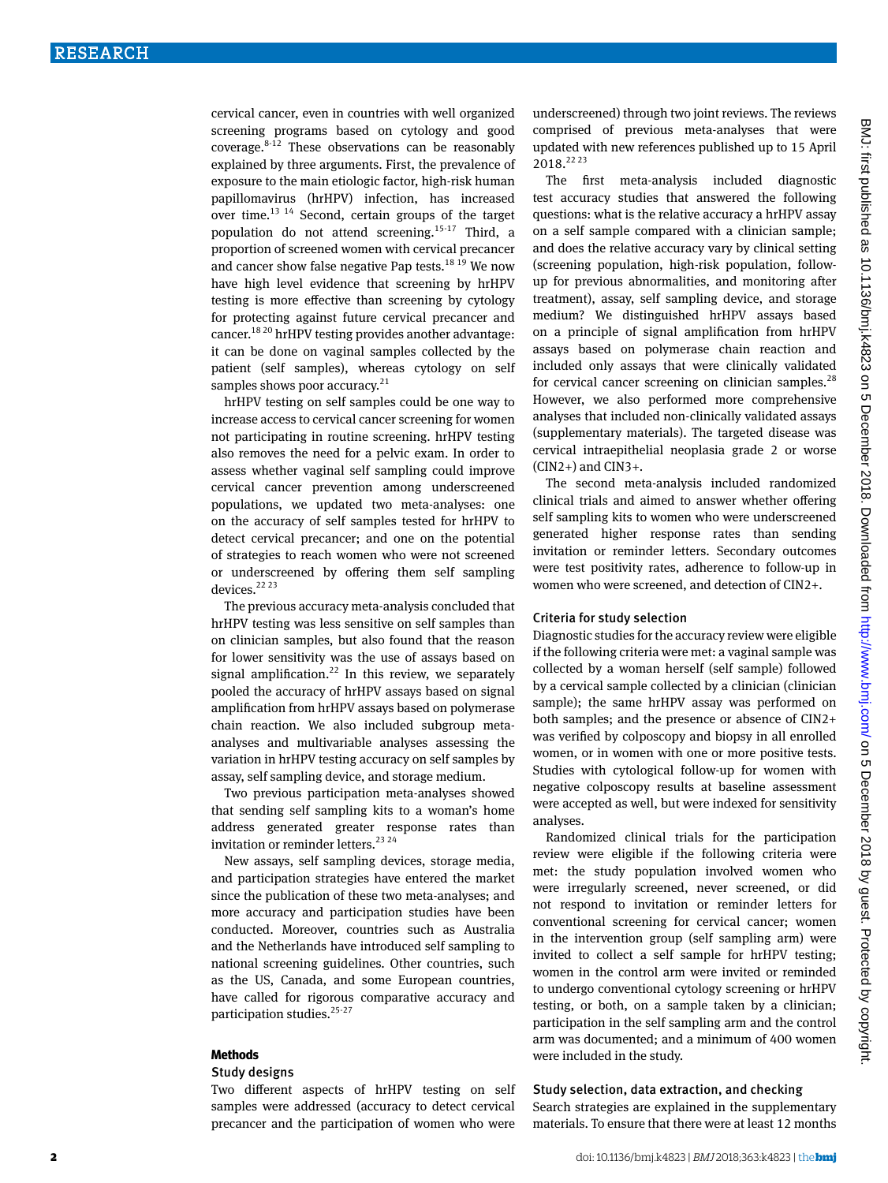cervical cancer, even in countries with well organized screening programs based on cytology and good coverage. $8-12$  These observations can be reasonably explained by three arguments. First, the prevalence of exposure to the main etiologic factor, high-risk human papillomavirus (hrHPV) infection, has increased over time.<sup>13 14</sup> Second, certain groups of the target population do not attend screening.<sup>15-17</sup> Third, a proportion of screened women with cervical precancer and cancer show false negative Pap tests.<sup>18 19</sup> We now have high level evidence that screening by hrHPV testing is more effective than screening by cytology for protecting against future cervical precancer and cancer.18 20 hrHPV testing provides another advantage: it can be done on vaginal samples collected by the patient (self samples), whereas cytology on self samples shows poor accuracy.<sup>21</sup>

hrHPV testing on self samples could be one way to increase access to cervical cancer screening for women not participating in routine screening. hrHPV testing also removes the need for a pelvic exam. In order to assess whether vaginal self sampling could improve cervical cancer prevention among underscreened populations, we updated two meta-analyses: one on the accuracy of self samples tested for hrHPV to detect cervical precancer; and one on the potential of strategies to reach women who were not screened or underscreened by offering them self sampling devices.<sup>22 23</sup>

The previous accuracy meta-analysis concluded that hrHPV testing was less sensitive on self samples than on clinician samples, but also found that the reason for lower sensitivity was the use of assays based on signal amplification.<sup>22</sup> In this review, we separately pooled the accuracy of hrHPV assays based on signal amplification from hrHPV assays based on polymerase chain reaction. We also included subgroup metaanalyses and multivariable analyses assessing the variation in hrHPV testing accuracy on self samples by assay, self sampling device, and storage medium.

Two previous participation meta-analyses showed that sending self sampling kits to a woman's home address generated greater response rates than invitation or reminder letters.<sup>23 24</sup>

New assays, self sampling devices, storage media, and participation strategies have entered the market since the publication of these two meta-analyses; and more accuracy and participation studies have been conducted. Moreover, countries such as Australia and the Netherlands have introduced self sampling to national screening guidelines. Other countries, such as the US, Canada, and some European countries, have called for rigorous comparative accuracy and participation studies.<sup>25-27</sup>

#### **Methods**

#### Study designs

Two different aspects of hrHPV testing on self samples were addressed (accuracy to detect cervical precancer and the participation of women who were

underscreened) through two joint reviews. The reviews comprised of previous meta-analyses that were updated with new references published up to 15 April 2018.22 23

The first meta-analysis included diagnostic test accuracy studies that answered the following questions: what is the relative accuracy a hrHPV assay on a self sample compared with a clinician sample; and does the relative accuracy vary by clinical setting (screening population, high-risk population, followup for previous abnormalities, and monitoring after treatment), assay, self sampling device, and storage medium? We distinguished hrHPV assays based on a principle of signal amplification from hrHPV assays based on polymerase chain reaction and included only assays that were clinically validated for cervical cancer screening on clinician samples. $^{28}$ However, we also performed more comprehensive analyses that included non-clinically validated assays (supplementary materials). The targeted disease was cervical intraepithelial neoplasia grade 2 or worse (CIN2+) and CIN3+.

The second meta-analysis included randomized clinical trials and aimed to answer whether offering self sampling kits to women who were underscreened generated higher response rates than sending invitation or reminder letters. Secondary outcomes were test positivity rates, adherence to follow-up in women who were screened, and detection of CIN2+.

#### Criteria for study selection

Diagnostic studies for the accuracy review were eligible if the following criteria were met: a vaginal sample was collected by a woman herself (self sample) followed by a cervical sample collected by a clinician (clinician sample); the same hrHPV assay was performed on both samples; and the presence or absence of CIN2+ was verified by colposcopy and biopsy in all enrolled women, or in women with one or more positive tests. Studies with cytological follow-up for women with negative colposcopy results at baseline assessment were accepted as well, but were indexed for sensitivity analyses.

Randomized clinical trials for the participation review were eligible if the following criteria were met: the study population involved women who were irregularly screened, never screened, or did not respond to invitation or reminder letters for conventional screening for cervical cancer; women in the intervention group (self sampling arm) were invited to collect a self sample for hrHPV testing; women in the control arm were invited or reminded to undergo conventional cytology screening or hrHPV testing, or both, on a sample taken by a clinician; participation in the self sampling arm and the control arm was documented; and a minimum of 400 women were included in the study.

# Study selection, data extraction, and checking

Search strategies are explained in the supplementary materials. To ensure that there were at least 12 months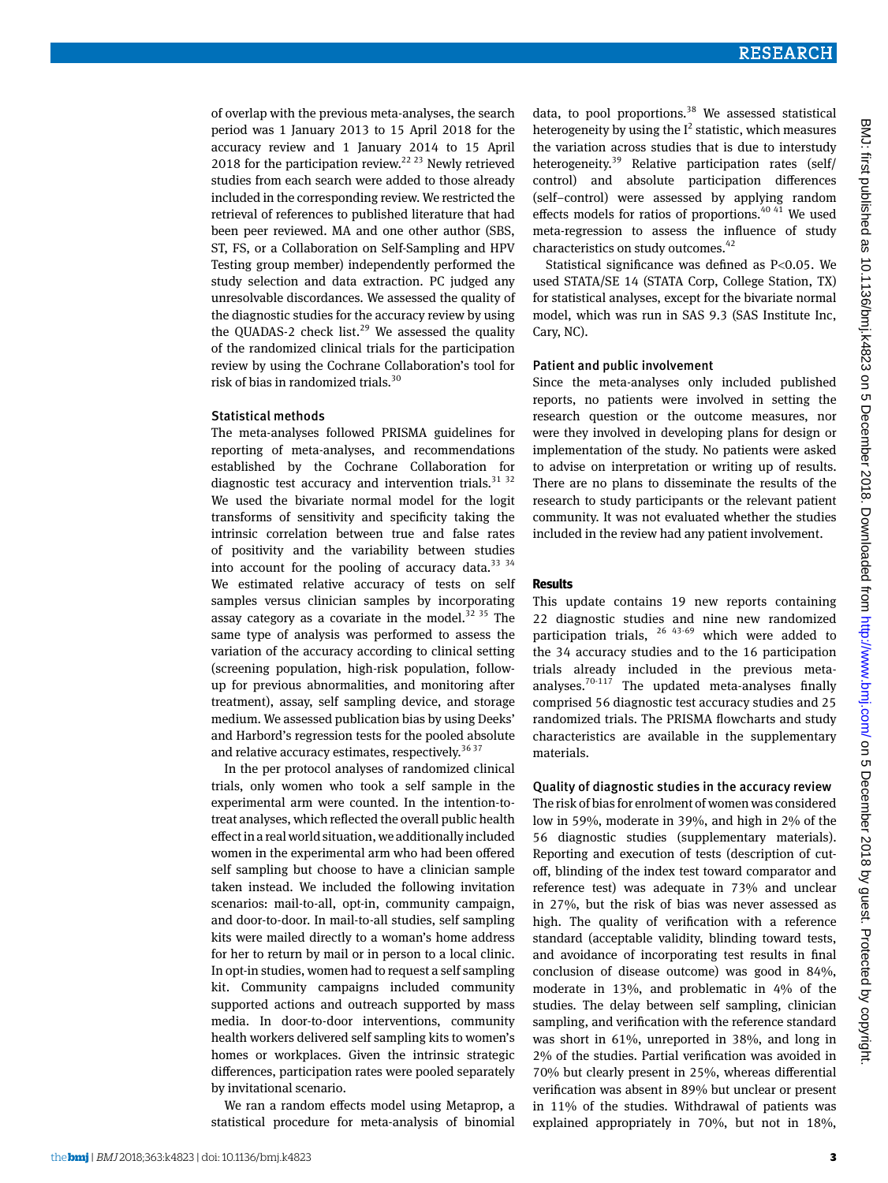of overlap with the previous meta-analyses, the search period was 1 January 2013 to 15 April 2018 for the accuracy review and 1 January 2014 to 15 April 2018 for the participation review.<sup>22 23</sup> Newly retrieved studies from each search were added to those already included in the corresponding review. We restricted the retrieval of references to published literature that had been peer reviewed. MA and one other author (SBS, ST, FS, or a Collaboration on Self-Sampling and HPV Testing group member) independently performed the study selection and data extraction. PC judged any unresolvable discordances. We assessed the quality of the diagnostic studies for the accuracy review by using the QUADAS-2 check list.<sup>29</sup> We assessed the quality of the randomized clinical trials for the participation review by using the Cochrane Collaboration's tool for risk of bias in randomized trials.<sup>30</sup>

#### Statistical methods

The meta-analyses followed PRISMA guidelines for reporting of meta-analyses, and recommendations established by the Cochrane Collaboration for diagnostic test accuracy and intervention trials.<sup>31 32</sup> We used the bivariate normal model for the logit transforms of sensitivity and specificity taking the intrinsic correlation between true and false rates of positivity and the variability between studies into account for the pooling of accuracy data. $33\frac{34}{3}$ We estimated relative accuracy of tests on self samples versus clinician samples by incorporating assay category as a covariate in the model.<sup>32 35</sup> The same type of analysis was performed to assess the variation of the accuracy according to clinical setting (screening population, high-risk population, followup for previous abnormalities, and monitoring after treatment), assay, self sampling device, and storage medium. We assessed publication bias by using Deeks' and Harbord's regression tests for the pooled absolute and relative accuracy estimates, respectively.  $3637$ 

In the per protocol analyses of randomized clinical trials, only women who took a self sample in the experimental arm were counted. In the intention-totreat analyses, which reflected the overall public health effect in a real world situation, we additionally included women in the experimental arm who had been offered self sampling but choose to have a clinician sample taken instead. We included the following invitation scenarios: mail-to-all, opt-in, community campaign, and door-to-door. In mail-to-all studies, self sampling kits were mailed directly to a woman's home address for her to return by mail or in person to a local clinic. In opt-in studies, women had to request a self sampling kit. Community campaigns included community supported actions and outreach supported by mass media. In door-to-door interventions, community health workers delivered self sampling kits to women's homes or workplaces. Given the intrinsic strategic differences, participation rates were pooled separately by invitational scenario.

We ran a random effects model using Metaprop, a statistical procedure for meta-analysis of binomial data, to pool proportions.<sup>38</sup> We assessed statistical heterogeneity by using the  $I^2$  statistic, which measures the variation across studies that is due to interstudy heterogeneity.<sup>39</sup> Relative participation rates (self/ control) and absolute participation differences (self−control) were assessed by applying random effects models for ratios of proportions.<sup>40 41</sup> We used meta-regression to assess the influence of study characteristics on study outcomes.<sup>42</sup>

Statistical significance was defined as P<0.05. We used STATA/SE 14 (STATA Corp, College Station, TX) for statistical analyses, except for the bivariate normal model, which was run in SAS 9.3 (SAS Institute Inc, Cary, NC).

#### Patient and public involvement

Since the meta-analyses only included published reports, no patients were involved in setting the research question or the outcome measures, nor were they involved in developing plans for design or implementation of the study. No patients were asked to advise on interpretation or writing up of results. There are no plans to disseminate the results of the research to study participants or the relevant patient community. It was not evaluated whether the studies included in the review had any patient involvement.

#### **Results**

This update contains 19 new reports containing 22 diagnostic studies and nine new randomized participation trials,  $2643-69$  which were added to the 34 accuracy studies and to the 16 participation trials already included in the previous metaanalyses.<sup>70-117</sup> The updated meta-analyses finally comprised 56 diagnostic test accuracy studies and 25 randomized trials. The PRISMA flowcharts and study characteristics are available in the supplementary materials.

#### Quality of diagnostic studies in the accuracy review

The risk of bias for enrolment of women was considered low in 59%, moderate in 39%, and high in 2% of the 56 diagnostic studies (supplementary materials). Reporting and execution of tests (description of cutoff, blinding of the index test toward comparator and reference test) was adequate in 73% and unclear in 27%, but the risk of bias was never assessed as high. The quality of verification with a reference standard (acceptable validity, blinding toward tests, and avoidance of incorporating test results in final conclusion of disease outcome) was good in 84%, moderate in 13%, and problematic in 4% of the studies. The delay between self sampling, clinician sampling, and verification with the reference standard was short in 61%, unreported in 38%, and long in 2% of the studies. Partial verification was avoided in 70% but clearly present in 25%, whereas differential verification was absent in 89% but unclear or present in 11% of the studies. Withdrawal of patients was explained appropriately in 70%, but not in 18%,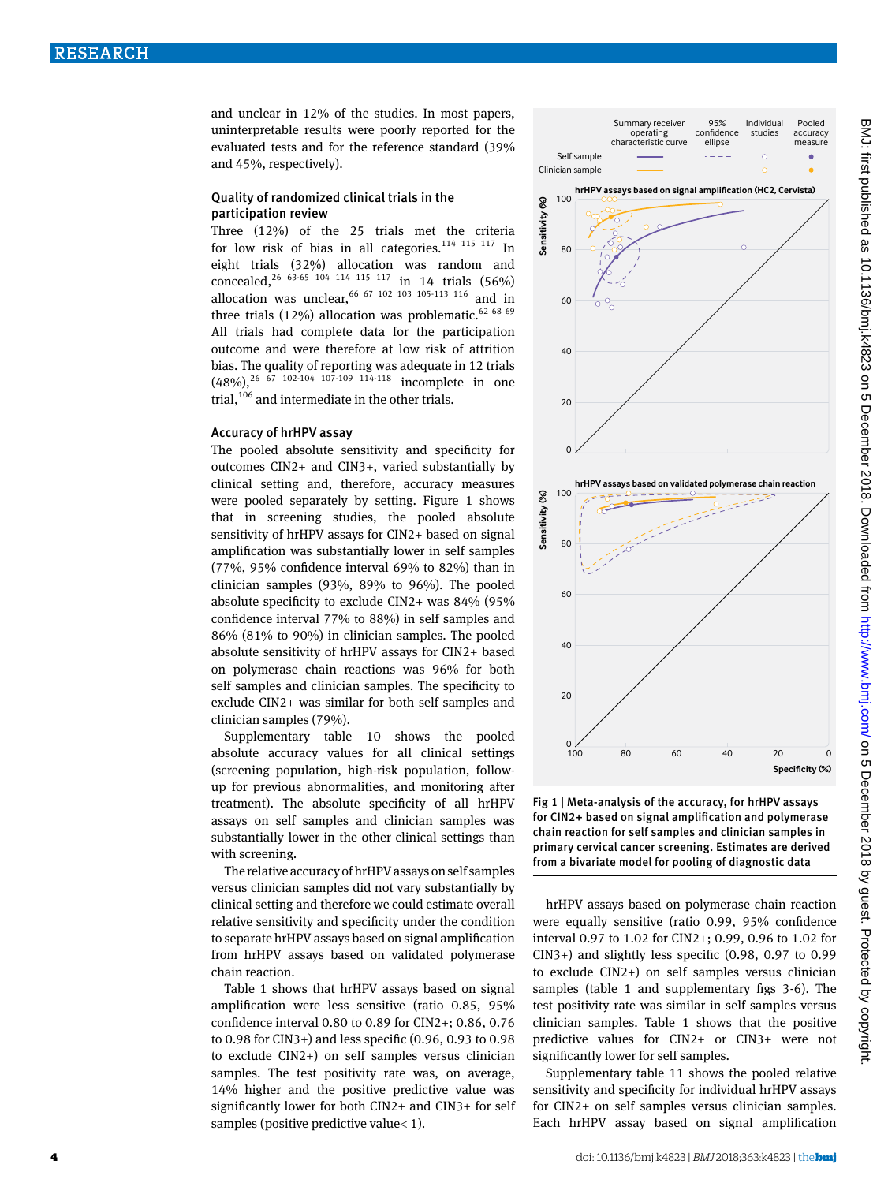and unclear in 12% of the studies. In most papers, uninterpretable results were poorly reported for the evaluated tests and for the reference standard (39% and 45%, respectively).

### Quality of randomized clinical trials in the participation review

Three (12%) of the 25 trials met the criteria for low risk of bias in all categories. $114$   $115$   $117$  In eight trials (32%) allocation was random and concealed,26 63-65 104 114 115 117 in 14 trials (56%) allocation was unclear,  $66 67 102 103 105 \cdot 113 116$  and in three trials (12%) allocation was problematic.<sup>62 68 69</sup> All trials had complete data for the participation outcome and were therefore at low risk of attrition bias. The quality of reporting was adequate in 12 trials (48%),26 67 102-104 107-109 114-118 incomplete in one  $\text{trial},^{106}$  and intermediate in the other trials.

#### Accuracy of hrHPV assay

The pooled absolute sensitivity and specificity for outcomes CIN2+ and CIN3+, varied substantially by clinical setting and, therefore, accuracy measures were pooled separately by setting. Figure 1 shows that in screening studies, the pooled absolute sensitivity of hrHPV assays for CIN2+ based on signal amplification was substantially lower in self samples (77%, 95% confidence interval 69% to 82%) than in clinician samples (93%, 89% to 96%). The pooled absolute specificity to exclude CIN2+ was 84% (95% confidence interval 77% to 88%) in self samples and 86% (81% to 90%) in clinician samples. The pooled absolute sensitivity of hrHPV assays for CIN2+ based on polymerase chain reactions was 96% for both self samples and clinician samples. The specificity to exclude CIN2+ was similar for both self samples and clinician samples (79%).

Supplementary table 10 shows the pooled absolute accuracy values for all clinical settings (screening population, high-risk population, followup for previous abnormalities, and monitoring after treatment). The absolute specificity of all hrHPV assays on self samples and clinician samples was substantially lower in the other clinical settings than with screening.

The relative accuracy of hrHPV assays on self samples versus clinician samples did not vary substantially by clinical setting and therefore we could estimate overall relative sensitivity and specificity under the condition to separate hrHPV assays based on signal amplification from hrHPV assays based on validated polymerase chain reaction.

Table 1 shows that hrHPV assays based on signal amplification were less sensitive (ratio 0.85, 95% confidence interval 0.80 to 0.89 for CIN2+; 0.86, 0.76 to 0.98 for CIN3+) and less specific (0.96, 0.93 to 0.98 to exclude CIN2+) on self samples versus clinician samples. The test positivity rate was, on average, 14% higher and the positive predictive value was significantly lower for both CIN2+ and CIN3+ for self samples (positive predictive value< 1).



Fig 1 | Meta-analysis of the accuracy, for hrHPV assays for CIN2+ based on signal amplification and polymerase chain reaction for self samples and clinician samples in primary cervical cancer screening. Estimates are derived from a bivariate model for pooling of diagnostic data

hrHPV assays based on polymerase chain reaction were equally sensitive (ratio 0.99, 95% confidence interval 0.97 to 1.02 for CIN2+; 0.99, 0.96 to 1.02 for  $CIN3+$ ) and slightly less specific  $(0.98, 0.97)$  to  $0.99$ to exclude CIN2+) on self samples versus clinician samples (table 1 and supplementary figs 3-6). The test positivity rate was similar in self samples versus clinician samples. Table 1 shows that the positive predictive values for CIN2+ or CIN3+ were not significantly lower for self samples.

Supplementary table 11 shows the pooled relative sensitivity and specificity for individual hrHPV assays for CIN2+ on self samples versus clinician samples. Each hrHPV assay based on signal amplification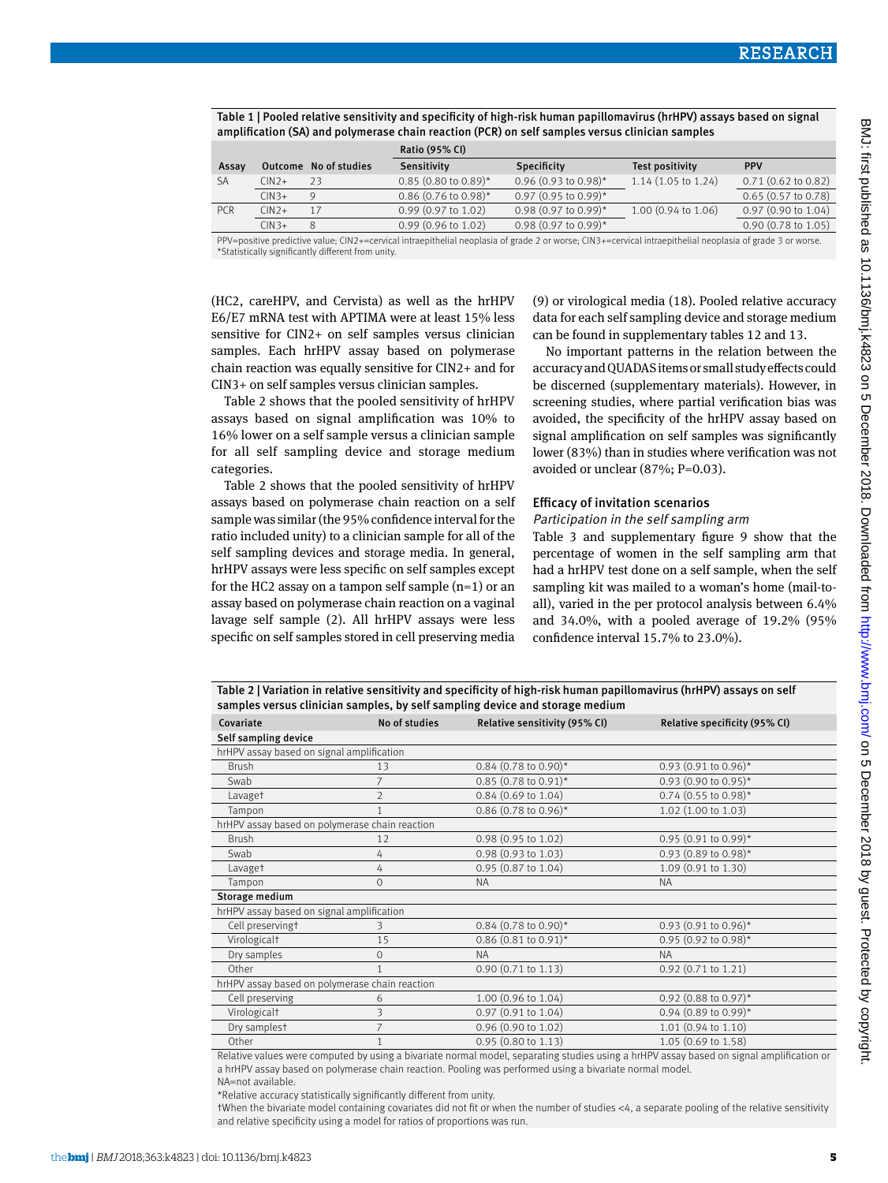|                                                                                                                                                            |         |                       | Ratio (95% CI)         |                        |                               |                               |  |
|------------------------------------------------------------------------------------------------------------------------------------------------------------|---------|-----------------------|------------------------|------------------------|-------------------------------|-------------------------------|--|
| Assay                                                                                                                                                      |         | Outcome No of studies | Sensitivity            | Specificity            | Test positivity               | <b>PPV</b>                    |  |
| <b>SA</b>                                                                                                                                                  | $CIN2+$ | 23                    | $0.85$ (0.80 to 0.89)* | $0.96$ (0.93 to 0.98)* | $1.14(1.05 \text{ to } 1.24)$ | $0.71(0.62 \text{ to } 0.82)$ |  |
|                                                                                                                                                            | $CIN3+$ | $\mathsf{Q}$          | $0.86$ (0.76 to 0.98)* | $0.97$ (0.95 to 0.99)* |                               | $0.65$ (0.57 to 0.78)         |  |
| <b>PCR</b>                                                                                                                                                 | $CIN2+$ | 17                    | $0.99$ (0.97 to 1.02)  | $0.98$ (0.97 to 0.99)* | 1.00 (0.94 to 1.06)           | $0.97$ (0.90 to 1.04)         |  |
|                                                                                                                                                            | $CIN3+$ | 8                     | $0.99$ (0.96 to 1.02)  | $0.98$ (0.97 to 0.99)* |                               | $0.90$ (0.78 to 1.05)         |  |
| PPV=positive predictive value; CIN2+=cervical intraepithelial neoplasia of grade 2 or worse; CIN3+=cervical intraepithelial neoplasia of grade 3 or worse. |         |                       |                        |                        |                               |                               |  |

Table 1 | Pooled relative sensitivity and specificity of high-risk human papillomavirus (hrHPV) assays based on signal amplification (SA) and polymerase chain reaction (PCR) on self samples versus clinician samples

\*Statistically significantly different from unity.

(HC2, careHPV, and Cervista) as well as the hrHPV E6/E7 mRNA test with APTIMA were at least 15% less sensitive for CIN2+ on self samples versus clinician samples. Each hrHPV assay based on polymerase chain reaction was equally sensitive for CIN2+ and for CIN3+ on self samples versus clinician samples.

Table 2 shows that the pooled sensitivity of hrHPV assays based on signal amplification was 10% to 16% lower on a self sample versus a clinician sample for all self sampling device and storage medium categories.

Table 2 shows that the pooled sensitivity of hrHPV assays based on polymerase chain reaction on a self sample was similar (the 95% confidence interval for the ratio included unity) to a clinician sample for all of the self sampling devices and storage media. In general, hrHPV assays were less specific on self samples except for the HC2 assay on a tampon self sample  $(n=1)$  or an assay based on polymerase chain reaction on a vaginal lavage self sample (2). All hrHPV assays were less specific on self samples stored in cell preserving media

(9) or virological media (18). Pooled relative accuracy data for each self sampling device and storage medium can be found in supplementary tables 12 and 13.

No important patterns in the relation between the accuracy and QUADAS items or small study effects could be discerned (supplementary materials). However, in screening studies, where partial verification bias was avoided, the specificity of the hrHPV assay based on signal amplification on self samples was significantly lower (83%) than in studies where verification was not avoided or unclear (87%; P=0.03).

#### Efficacy of invitation scenarios

#### Participation in the self sampling arm

Table 3 and supplementary figure 9 show that the percentage of women in the self sampling arm that had a hrHPV test done on a self sample, when the self sampling kit was mailed to a woman's home (mail-toall), varied in the per protocol analysis between 6.4% and 34.0%, with a pooled average of 19.2% (95% confidence interval 15.7% to 23.0%).

Table 2 | Variation in relative sensitivity and specificity of high-risk human papillomavirus (hrHPV) assays on self samples versus clinician samples, by self sampling device and storage medium

| Covariate                                      | No of studies  | Relative sensitivity (95% CI) | Relative specificity (95% CI) |  |  |  |
|------------------------------------------------|----------------|-------------------------------|-------------------------------|--|--|--|
| Self sampling device                           |                |                               |                               |  |  |  |
| hrHPV assay based on signal amplification      |                |                               |                               |  |  |  |
| <b>Brush</b>                                   | 13             | $0.84$ (0.78 to 0.90)*        | $0.93$ (0.91 to 0.96)*        |  |  |  |
| Swab                                           |                | $0.85$ (0.78 to 0.91)*        | $0.93$ (0.90 to 0.95)*        |  |  |  |
| Lavaget                                        | $\overline{2}$ | 0.84 (0.69 to 1.04)           | $0.74$ (0.55 to 0.98)*        |  |  |  |
| Tampon                                         |                | 0.86 (0.78 to 0.96)*          | 1.02 (1.00 to 1.03)           |  |  |  |
| hrHPV assay based on polymerase chain reaction |                |                               |                               |  |  |  |
| <b>Brush</b>                                   | 12             | 0.98 (0.95 to 1.02)           | $0.95$ (0.91 to 0.99)*        |  |  |  |
| Swab                                           | 4              | $0.98(0.93 \text{ to } 1.03)$ | 0.93 (0.89 to 0.98)*          |  |  |  |
| Lavaget                                        | 4              | 0.95 (0.87 to 1.04)           | 1.09 (0.91 to 1.30)           |  |  |  |
| Tampon                                         | $\overline{0}$ | <b>NA</b>                     | <b>NA</b>                     |  |  |  |
| Storage medium                                 |                |                               |                               |  |  |  |
| hrHPV assay based on signal amplification      |                |                               |                               |  |  |  |
| Cell preservingt                               | 3              | $0.84$ (0.78 to 0.90)*        | 0.93 (0.91 to 0.96)*          |  |  |  |
| Virologicalt                                   | 15             | $0.86$ (0.81 to 0.91)*        | $0.95$ (0.92 to 0.98)*        |  |  |  |
| Dry samples                                    | $\circ$        | <b>NA</b>                     | <b>NA</b>                     |  |  |  |
| Other                                          | 1              | 0.90 (0.71 to 1.13)           | 0.92 (0.71 to 1.21)           |  |  |  |
| hrHPV assay based on polymerase chain reaction |                |                               |                               |  |  |  |
| Cell preserving                                | 6              | 1.00 (0.96 to 1.04)           | $0.92$ (0.88 to 0.97)*        |  |  |  |
| Virologicalt                                   | 3              | 0.97 (0.91 to 1.04)           | $0.94$ (0.89 to 0.99)*        |  |  |  |
| Dry samplest                                   |                | 0.96 (0.90 to 1.02)           | $1.01(0.94 \text{ to } 1.10)$ |  |  |  |
| Other                                          | $\mathbf{1}$   | 0.95 (0.80 to 1.13)           | 1.05 (0.69 to 1.58)           |  |  |  |

Relative values were computed by using a bivariate normal model, separating studies using a hrHPV assay based on signal amplification or a hrHPV assay based on polymerase chain reaction. Pooling was performed using a bivariate normal model. NA=not available.

\*Relative accuracy statistically significantly different from unity.

†When the bivariate model containing covariates did not fit or when the number of studies <4, a separate pooling of the relative sensitivity and relative specificity using a model for ratios of proportions was run.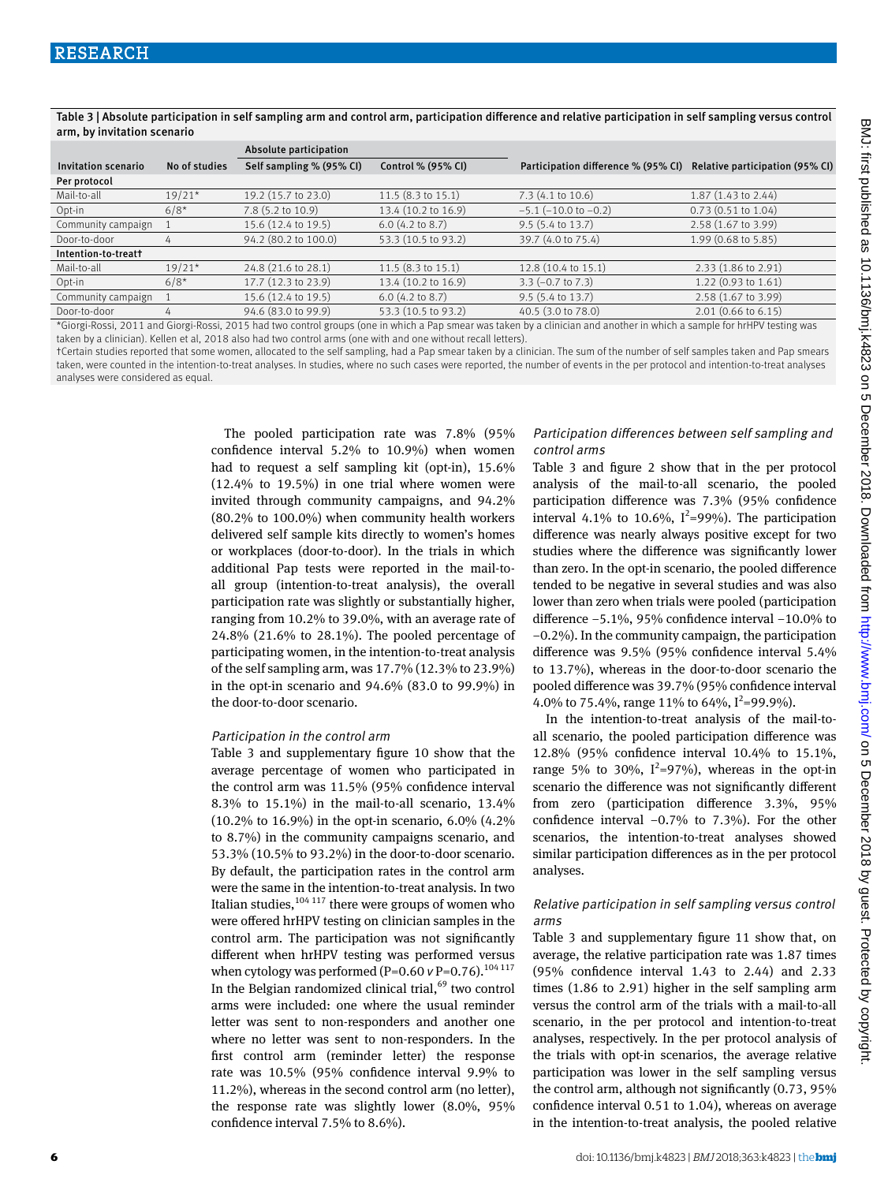Table 3 | Absolute participation in self sampling arm and control arm, participation difference and relative participation in self sampling versus control arm, by invitation scenario

|                                                                                                                                                                       |               | Absolute participation   |                              |                                                                     |                               |  |  |
|-----------------------------------------------------------------------------------------------------------------------------------------------------------------------|---------------|--------------------------|------------------------------|---------------------------------------------------------------------|-------------------------------|--|--|
| <b>Invitation scenario</b>                                                                                                                                            | No of studies | Self sampling % (95% CI) | Control % (95% CI)           | Participation difference % (95% CI) Relative participation (95% CI) |                               |  |  |
| Per protocol                                                                                                                                                          |               |                          |                              |                                                                     |                               |  |  |
| Mail-to-all                                                                                                                                                           | $19/21*$      | 19.2 (15.7 to 23.0)      | $11.5(8.3 \text{ to } 15.1)$ | $7.3$ (4.1 to 10.6)                                                 | $1.87(1.43 \text{ to } 2.44)$ |  |  |
| Opt-in                                                                                                                                                                | $6/8*$        | 7.8 (5.2 to 10.9)        | 13.4 (10.2 to 16.9)          | $-5.1$ ( $-10.0$ to $-0.2$ )                                        | $0.73(0.51 \text{ to } 1.04)$ |  |  |
| Community campaign                                                                                                                                                    |               | 15.6 (12.4 to 19.5)      | $6.0$ (4.2 to 8.7)           | $9.5$ (5.4 to 13.7)                                                 | 2.58 (1.67 to 3.99)           |  |  |
| Door-to-door                                                                                                                                                          | 4             | 94.2 (80.2 to 100.0)     | 53.3 (10.5 to 93.2)          | 39.7 (4.0 to 75.4)                                                  | $1.99$ (0.68 to 5.85)         |  |  |
| Intention-to-treatt                                                                                                                                                   |               |                          |                              |                                                                     |                               |  |  |
| Mail-to-all                                                                                                                                                           | $19/21*$      | 24.8 (21.6 to 28.1)      | $11.5(8.3 \text{ to } 15.1)$ | 12.8 (10.4 to 15.1)                                                 | 2.33 (1.86 to 2.91)           |  |  |
| Opt-in                                                                                                                                                                | $6/8*$        | 17.7 (12.3 to 23.9)      | 13.4 (10.2 to 16.9)          | $3.3 (-0.7 to 7.3)$                                                 | $1.22(0.93 \text{ to } 1.61)$ |  |  |
| Community campaign                                                                                                                                                    |               | 15.6 (12.4 to 19.5)      | $6.0$ (4.2 to 8.7)           | $9.5$ (5.4 to 13.7)                                                 | 2.58 (1.67 to 3.99)           |  |  |
| Door-to-door                                                                                                                                                          | 4             | 94.6 (83.0 to 99.9)      | 53.3 (10.5 to 93.2)          | 40.5 (3.0 to 78.0)                                                  | $2.01$ (0.66 to 6.15)         |  |  |
| *Ciavai Bossi, 2011 and Ciavai Bossi, 2015 had tug santrol arques (ano in uhigh a Bon amosques telem bus alinician and another in uhigh a complete hellBV tosting uno |               |                          |                              |                                                                     |                               |  |  |

\*Giorgi-Rossi, 2011 and Giorgi-Rossi, 2015 had two control groups (one in which a Pap smear was taken by a clinician and another in which a sample for hrHPV testing was taken by a clinician). Kellen et al, 2018 also had two control arms (one with and one without recall letters).

†Certain studies reported that some women, allocated to the self sampling, had a Pap smear taken by a clinician. The sum of the number of self samples taken and Pap smears taken, were counted in the intention-to-treat analyses. In studies, where no such cases were reported, the number of events in the per protocol and intention-to-treat analyses analyses were considered as equal.

> The pooled participation rate was 7.8% (95% confidence interval 5.2% to 10.9%) when women had to request a self sampling kit (opt-in), 15.6% (12.4% to 19.5%) in one trial where women were invited through community campaigns, and 94.2% (80.2% to 100.0%) when community health workers delivered self sample kits directly to women's homes or workplaces (door-to-door). In the trials in which additional Pap tests were reported in the mail-toall group (intention-to-treat analysis), the overall participation rate was slightly or substantially higher, ranging from 10.2% to 39.0%, with an average rate of 24.8% (21.6% to 28.1%). The pooled percentage of participating women, in the intention-to-treat analysis of the self sampling arm, was 17.7% (12.3% to 23.9%) in the opt-in scenario and 94.6% (83.0 to 99.9%) in the door-to-door scenario.

#### Participation in the control arm

Table 3 and supplementary figure 10 show that the average percentage of women who participated in the control arm was 11.5% (95% confidence interval 8.3% to 15.1%) in the mail-to-all scenario, 13.4% (10.2% to 16.9%) in the opt-in scenario, 6.0% (4.2% to 8.7%) in the community campaigns scenario, and 53.3% (10.5% to 93.2%) in the door-to-door scenario. By default, the participation rates in the control arm were the same in the intention-to-treat analysis. In two Italian studies, $104117$  there were groups of women who were offered hrHPV testing on clinician samples in the control arm. The participation was not significantly different when hrHPV testing was performed versus when cytology was performed (P=0.60  $v$  P=0.76).<sup>104 117</sup> In the Belgian randomized clinical trial,  $69$  two control arms were included: one where the usual reminder letter was sent to non-responders and another one where no letter was sent to non-responders. In the first control arm (reminder letter) the response rate was 10.5% (95% confidence interval 9.9% to 11.2%), whereas in the second control arm (no letter), the response rate was slightly lower (8.0%, 95% confidence interval 7.5% to 8.6%).

## Participation differences between self sampling and control arms

Table 3 and figure 2 show that in the per protocol analysis of the mail-to-all scenario, the pooled participation difference was 7.3% (95% confidence interval 4.1% to 10.6%,  $I^2 = 99$ %). The participation difference was nearly always positive except for two studies where the difference was significantly lower than zero. In the opt-in scenario, the pooled difference tended to be negative in several studies and was also lower than zero when trials were pooled (participation difference −5.1%, 95% confidence interval −10.0% to −0.2%). In the community campaign, the participation difference was 9.5% (95% confidence interval 5.4% to 13.7%), whereas in the door-to-door scenario the pooled difference was 39.7% (95% confidence interval 4.0% to 75.4%, range 11% to 64%,  $I^2 = 99.9\%$ ).

In the intention-to-treat analysis of the mail-toall scenario, the pooled participation difference was 12.8% (95% confidence interval 10.4% to 15.1%, range 5% to 30%,  $I^2=97\%$ ), whereas in the opt-in scenario the difference was not significantly different from zero (participation difference 3.3%, 95% confidence interval −0.7% to 7.3%). For the other scenarios, the intention-to-treat analyses showed similar participation differences as in the per protocol analyses.

# Relative participation in self sampling versus control arms

Table 3 and supplementary figure 11 show that, on average, the relative participation rate was 1.87 times (95% confidence interval 1.43 to 2.44) and 2.33 times (1.86 to 2.91) higher in the self sampling arm versus the control arm of the trials with a mail-to-all scenario, in the per protocol and intention-to-treat analyses, respectively. In the per protocol analysis of the trials with opt-in scenarios, the average relative participation was lower in the self sampling versus the control arm, although not significantly (0.73, 95% confidence interval 0.51 to 1.04), whereas on average in the intention-to-treat analysis, the pooled relative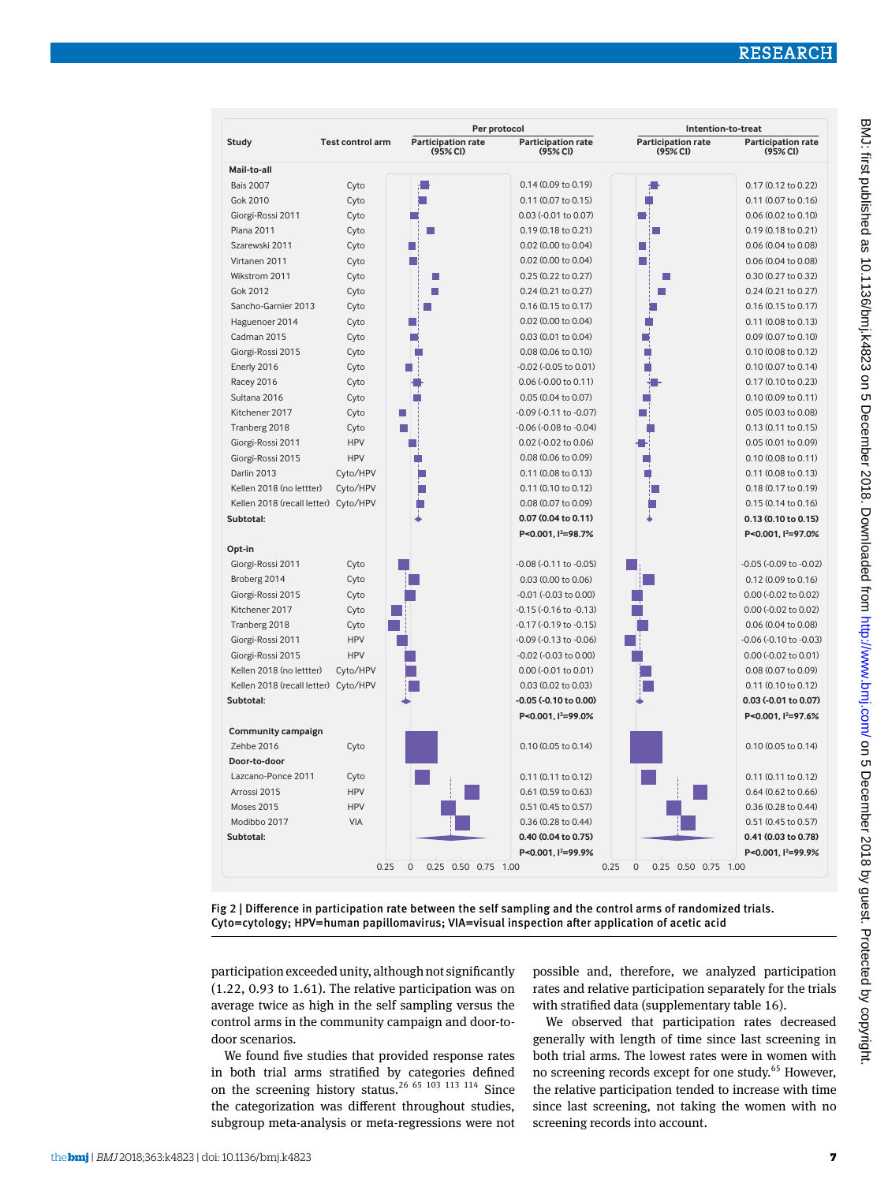|                                      |                         | Per protocol                          |                                       | Intention-to-treat                    |                                       |
|--------------------------------------|-------------------------|---------------------------------------|---------------------------------------|---------------------------------------|---------------------------------------|
| <b>Study</b>                         | <b>Test control arm</b> | <b>Participation rate</b><br>(95% CI) | <b>Participation rate</b><br>(95% CI) | <b>Participation rate</b><br>(95% CI) | <b>Participation rate</b><br>(95% CI) |
| Mail-to-all                          |                         |                                       |                                       |                                       |                                       |
| <b>Bais 2007</b>                     | Cyto                    |                                       | 0.14 (0.09 to 0.19)                   |                                       | 0.17 (0.12 to 0.22)                   |
| Gok 2010                             | Cyto                    |                                       | 0.11 (0.07 to 0.15)                   |                                       | 0.11 (0.07 to 0.16)                   |
| Giorgi-Rossi 2011                    | Cyto                    |                                       | 0.03 (-0.01 to 0.07)                  |                                       | 0.06 (0.02 to 0.10)                   |
| Piana 2011                           | Cyto                    | h.                                    | 0.19 (0.18 to 0.21)                   |                                       | 0.19 (0.18 to 0.21)                   |
| Szarewski 2011                       | Cyto                    |                                       | 0.02 (0.00 to 0.04)                   | г                                     | 0.06 (0.04 to 0.08)                   |
| Virtanen 2011                        | Cyto                    |                                       | 0.02 (0.00 to 0.04)                   | H.                                    | 0.06 (0.04 to 0.08)                   |
| Wikstrom 2011                        | Cyto                    | Ш                                     | 0.25 (0.22 to 0.27)                   | h.                                    | 0.30 (0.27 to 0.32)                   |
| Gok 2012                             | Cyto                    | П                                     | 0.24 (0.21 to 0.27)                   | ٠                                     | 0.24 (0.21 to 0.27)                   |
| Sancho-Garnier 2013                  | Cyto                    | П                                     | 0.16(0.15 to 0.17)                    |                                       | 0.16 (0.15 to 0.17)                   |
| Haguenoer 2014                       | Cyto                    |                                       | 0.02 (0.00 to 0.04)                   |                                       | 0.11 (0.08 to 0.13)                   |
| Cadman 2015                          | Cyto                    |                                       | 0.03 (0.01 to 0.04)                   |                                       | 0.09 (0.07 to 0.10)                   |
| Giorgi-Rossi 2015                    | Cyto                    |                                       | 0.08 (0.06 to 0.10)                   | h.                                    | 0.10 (0.08 to 0.12)                   |
| Enerly 2016                          | Cyto                    |                                       | -0.02 (-0.05 to 0.01)                 |                                       | 0.10 (0.07 to 0.14)                   |
| Racey 2016                           | Cyto                    |                                       | 0.06 (-0.00 to 0.11)                  |                                       | 0.17 (0.10 to 0.23)                   |
| Sultana 2016                         | Cyto                    |                                       | 0.05 (0.04 to 0.07)                   |                                       | 0.10 (0.09 to 0.11)                   |
| Kitchener 2017                       | Cyto                    | h.                                    | -0.09 (-0.11 to -0.07)                |                                       | 0.05 (0.03 to 0.08)                   |
| Tranberg 2018                        | Cyto                    | г                                     | -0.06 (-0.08 to -0.04)                |                                       | 0.13 (0.11 to 0.15)                   |
| Giorgi-Rossi 2011                    | <b>HPV</b>              |                                       | 0.02 (-0.02 to 0.06)                  |                                       | 0.05 (0.01 to 0.09)                   |
| Giorgi-Rossi 2015                    | <b>HPV</b>              |                                       | 0.08 (0.06 to 0.09)                   |                                       | 0.10 (0.08 to 0.11)                   |
| Darlin 2013                          | Cyto/HPV                |                                       | 0.11 (0.08 to 0.13)                   |                                       | 0.11 (0.08 to 0.13)                   |
| Kellen 2018 (no lettter)             | Cyto/HPV                |                                       | 0.11 (0.10 to 0.12)                   |                                       | 0.18 (0.17 to 0.19)                   |
| Kellen 2018 (recall letter) Cyto/HPV |                         |                                       | 0.08 (0.07 to 0.09)                   |                                       | 0.15 (0.14 to 0.16)                   |
| Subtotal:                            |                         |                                       | 0.07 (0.04 to 0.11)                   |                                       | 0.13 (0.10 to 0.15)                   |
|                                      |                         |                                       | P<0.001, l <sup>2</sup> =98.7%        |                                       | P<0.001, l <sup>2</sup> =97.0%        |
| Opt-in                               |                         |                                       |                                       |                                       |                                       |
| Giorgi-Rossi 2011                    | Cyto                    |                                       | -0.08 (-0.11 to -0.05)                |                                       | -0.05 (-0.09 to -0.02)                |
| Broberg 2014                         | Cyto                    |                                       | 0.03 (0.00 to 0.06)                   |                                       | 0.12 (0.09 to 0.16)                   |
| Giorgi-Rossi 2015                    | Cyto                    |                                       | -0.01 (-0.03 to 0.00)                 |                                       | 0.00 (-0.02 to 0.02)                  |
| Kitchener 2017                       | Cyto                    |                                       | -0.15 (-0.16 to -0.13)                |                                       | 0.00 (-0.02 to 0.02)                  |
| Tranberg 2018                        | Cyto                    |                                       | -0.17 (-0.19 to -0.15)                |                                       | 0.06 (0.04 to 0.08)                   |
| Giorgi-Rossi 2011                    | <b>HPV</b>              |                                       | -0.09 (-0.13 to -0.06)                |                                       | -0.06 (-0.10 to -0.03)                |
| Giorgi-Rossi 2015                    | <b>HPV</b>              |                                       | -0.02 (-0.03 to 0.00)                 |                                       | 0.00 (-0.02 to 0.01)                  |
| Kellen 2018 (no lettter)             | Cyto/HPV                |                                       | 0.00 (-0.01 to 0.01)                  |                                       | 0.08 (0.07 to 0.09)                   |
| Kellen 2018 (recall letter) Cyto/HPV |                         |                                       | 0.03 (0.02 to 0.03)                   |                                       | 0.11 (0.10 to 0.12)                   |
| Subtotal:                            |                         |                                       | -0.05 (-0.10 to 0.00)                 |                                       | 0.03 (-0.01 to 0.07)                  |
|                                      |                         |                                       | P<0.001, l <sup>2</sup> =99.0%        |                                       | P<0.001, l <sup>2</sup> =97.6%        |
| <b>Community campaign</b>            |                         |                                       |                                       |                                       |                                       |
| Zehbe 2016                           | Cyto                    |                                       | 0.10 (0.05 to 0.14)                   |                                       | 0.10 (0.05 to 0.14)                   |
| Door-to-door                         |                         |                                       |                                       |                                       |                                       |
| Lazcano-Ponce 2011                   | Cyto                    |                                       | 0.11 (0.11 to 0.12)                   |                                       | 0.11 (0.11 to 0.12)                   |
| Arrossi 2015                         | <b>HPV</b>              |                                       | 0.61 (0.59 to 0.63)                   |                                       | 0.64 (0.62 to 0.66)                   |
| <b>Moses 2015</b>                    | <b>HPV</b>              |                                       | 0.51 (0.45 to 0.57)                   |                                       | 0.36 (0.28 to 0.44)                   |
| Modibbo 2017                         | <b>VIA</b>              |                                       | 0.36 (0.28 to 0.44)                   |                                       | 0.51 (0.45 to 0.57)                   |
| Subtotal:                            |                         |                                       | 0.40 (0.04 to 0.75)                   |                                       | 0.41 (0.03 to 0.78)                   |
|                                      | 0.25                    |                                       | P<0.001.1 <sup>2</sup> =99.9%<br>0.25 |                                       | P<0.001, l <sup>2</sup> =99.9%        |

Fig 2 | Difference in participation rate between the self sampling and the control arms of randomized trials. Cyto=cytology; HPV=human papillomavirus; VIA=visual inspection after application of acetic acid

participation exceeded unity, although not significantly (1.22, 0.93 to 1.61). The relative participation was on average twice as high in the self sampling versus the control arms in the community campaign and door-todoor scenarios.

We found five studies that provided response rates in both trial arms stratified by categories defined on the screening history status.<sup>26 65</sup> <sup>103</sup> <sup>113</sup> <sup>114</sup> Since the categorization was different throughout studies, subgroup meta-analysis or meta-regressions were not possible and, therefore, we analyzed participation rates and relative participation separately for the trials with stratified data (supplementary table 16).

We observed that participation rates decreased generally with length of time since last screening in both trial arms. The lowest rates were in women with no screening records except for one study.<sup>65</sup> However, the relative participation tended to increase with time since last screening, not taking the women with no screening records into account.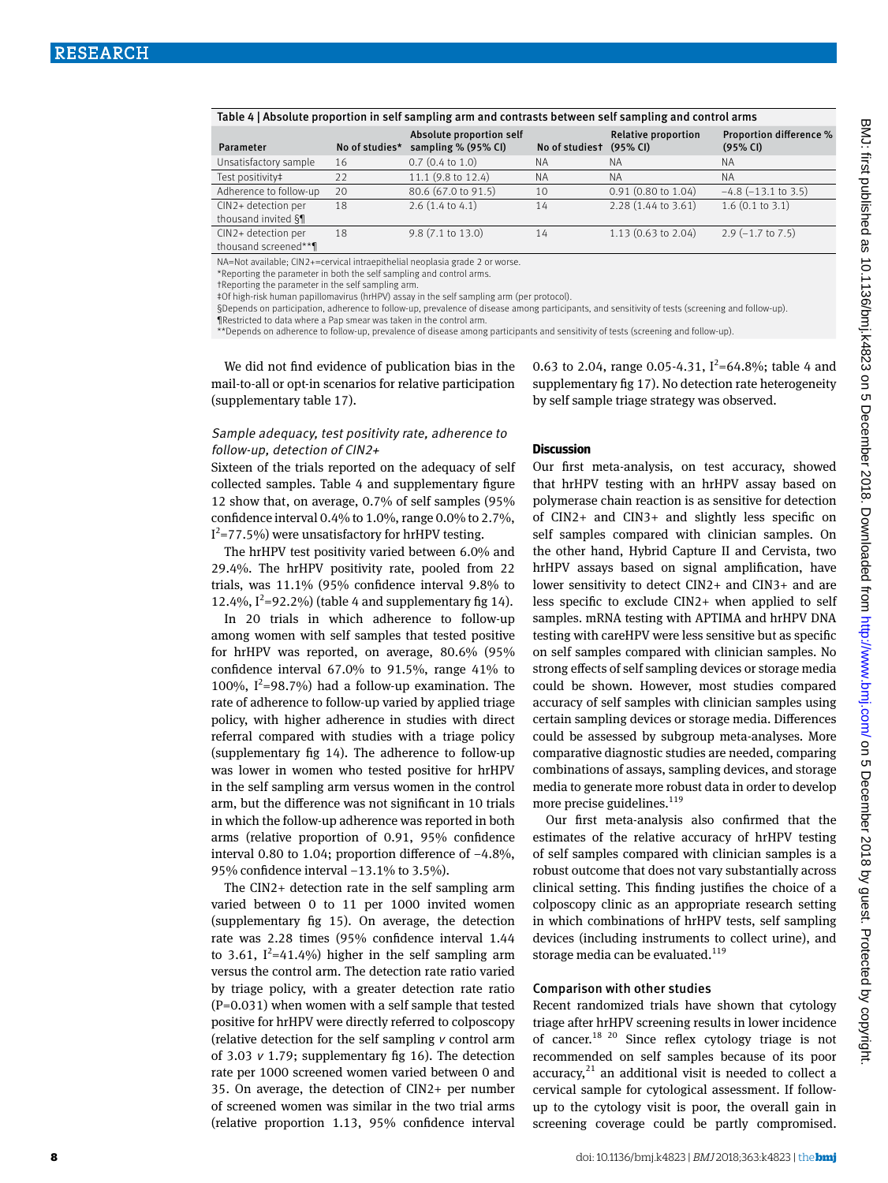| Table 4 Absolute proportion in self sampling arm and contrasts between self sampling and control arms |                |                                                 |                         |                               |                                            |  |
|-------------------------------------------------------------------------------------------------------|----------------|-------------------------------------------------|-------------------------|-------------------------------|--------------------------------------------|--|
| <b>Parameter</b>                                                                                      | No of studies* | Absolute proportion self<br>sampling % (95% CI) | No of studiest (95% CI) | Relative proportion           | <b>Proportion difference %</b><br>(95% CI) |  |
| Unsatisfactory sample                                                                                 | 16             | $0.7$ (0.4 to 1.0)                              | <b>NA</b>               | NA.                           | NA.                                        |  |
| Test positivity‡                                                                                      | 22             | 11.1 (9.8 to 12.4)                              | <b>NA</b>               | <b>NA</b>                     | ΝA                                         |  |
| Adherence to follow-up                                                                                | 20             | 80.6 (67.0 to 91.5)                             | 10                      | $0.91(0.80 \text{ to } 1.04)$ | $-4.8$ ( $-13.1$ to 3.5)                   |  |
| CIN2+ detection per                                                                                   | 18             | $2.6(1.4 \text{ to } 4.1)$                      | 14                      | 2.28 (1.44 to 3.61)           | $1.6(0.1 \text{ to } 3.1)$                 |  |
| thousand invited §1                                                                                   |                |                                                 |                         |                               |                                            |  |
| CIN2+ detection per                                                                                   | 18             | $9.8(7.1 \text{ to } 13.0)$                     | 14                      | $1.13(0.63 \text{ to } 2.04)$ | $2.9$ (-1.7 to 7.5)                        |  |
| thousand screened**¶                                                                                  |                |                                                 |                         |                               |                                            |  |

NA=Not available; CIN2+=cervical intraepithelial neoplasia grade 2 or worse.

\*Reporting the parameter in both the self sampling and control arms.

†Reporting the parameter in the self sampling arm.

‡Of high-risk human papillomavirus (hrHPV) assay in the self sampling arm (per protocol).

§Depends on participation, adherence to follow-up, prevalence of disease among participants, and sensitivity of tests (screening and follow-up). ¶Restricted to data where a Pap smear was taken in the control arm.

\*\*Depends on adherence to follow-up, prevalence of disease among participants and sensitivity of tests (screening and follow-up).

We did not find evidence of publication bias in the mail-to-all or opt-in scenarios for relative participation (supplementary table 17).

## Sample adequacy, test positivity rate, adherence to follow-up, detection of CIN2+

Sixteen of the trials reported on the adequacy of self collected samples. Table 4 and supplementary figure 12 show that, on average, 0.7% of self samples (95% confidence interval 0.4% to 1.0%, range 0.0% to 2.7%,  $I^2$ =77.5%) were unsatisfactory for hrHPV testing.

The hrHPV test positivity varied between 6.0% and 29.4%. The hrHPV positivity rate, pooled from 22 trials, was 11.1% (95% confidence interval 9.8% to 12.4%,  $I^2 = 92.2$ %) (table 4 and supplementary fig 14).

In 20 trials in which adherence to follow-up among women with self samples that tested positive for hrHPV was reported, on average, 80.6% (95% confidence interval 67.0% to 91.5%, range 41% to 100%,  $I^2 = 98.7$ %) had a follow-up examination. The rate of adherence to follow-up varied by applied triage policy, with higher adherence in studies with direct referral compared with studies with a triage policy (supplementary fig 14). The adherence to follow-up was lower in women who tested positive for hrHPV in the self sampling arm versus women in the control arm, but the difference was not significant in 10 trials in which the follow-up adherence was reported in both arms (relative proportion of 0.91, 95% confidence interval 0.80 to 1.04; proportion difference of −4.8%, 95% confidence interval −13.1% to 3.5%).

The CIN2+ detection rate in the self sampling arm varied between 0 to 11 per 1000 invited women (supplementary fig 15). On average, the detection rate was 2.28 times (95% confidence interval 1.44 to 3.61,  $I^2=41.4\%$ ) higher in the self sampling arm versus the control arm. The detection rate ratio varied by triage policy, with a greater detection rate ratio (P=0.031) when women with a self sample that tested positive for hrHPV were directly referred to colposcopy (relative detection for the self sampling *v* control arm of 3.03 *v* 1.79; supplementary fig 16). The detection rate per 1000 screened women varied between 0 and 35. On average, the detection of CIN2+ per number of screened women was similar in the two trial arms (relative proportion 1.13, 95% confidence interval

0.63 to 2.04, range 0.05-4.31,  $I^2=64.8\%$ ; table 4 and supplementary fig 17). No detection rate heterogeneity by self sample triage strategy was observed.

#### **Discussion**

Our first meta-analysis, on test accuracy, showed that hrHPV testing with an hrHPV assay based on polymerase chain reaction is as sensitive for detection of CIN2+ and CIN3+ and slightly less specific on self samples compared with clinician samples. On the other hand, Hybrid Capture II and Cervista, two hrHPV assays based on signal amplification, have lower sensitivity to detect CIN2+ and CIN3+ and are less specific to exclude CIN2+ when applied to self samples. mRNA testing with APTIMA and hrHPV DNA testing with careHPV were less sensitive but as specific on self samples compared with clinician samples. No strong effects of self sampling devices or storage media could be shown. However, most studies compared accuracy of self samples with clinician samples using certain sampling devices or storage media. Differences could be assessed by subgroup meta-analyses. More comparative diagnostic studies are needed, comparing combinations of assays, sampling devices, and storage media to generate more robust data in order to develop more precise guidelines.<sup>119</sup>

Our first meta-analysis also confirmed that the estimates of the relative accuracy of hrHPV testing of self samples compared with clinician samples is a robust outcome that does not vary substantially across clinical setting. This finding justifies the choice of a colposcopy clinic as an appropriate research setting in which combinations of hrHPV tests, self sampling devices (including instruments to collect urine), and storage media can be evaluated.<sup>119</sup>

#### Comparison with other studies

Recent randomized trials have shown that cytology triage after hrHPV screening results in lower incidence of cancer.18 20 Since reflex cytology triage is not recommended on self samples because of its poor accuracy, $21$  an additional visit is needed to collect a cervical sample for cytological assessment. If followup to the cytology visit is poor, the overall gain in screening coverage could be partly compromised.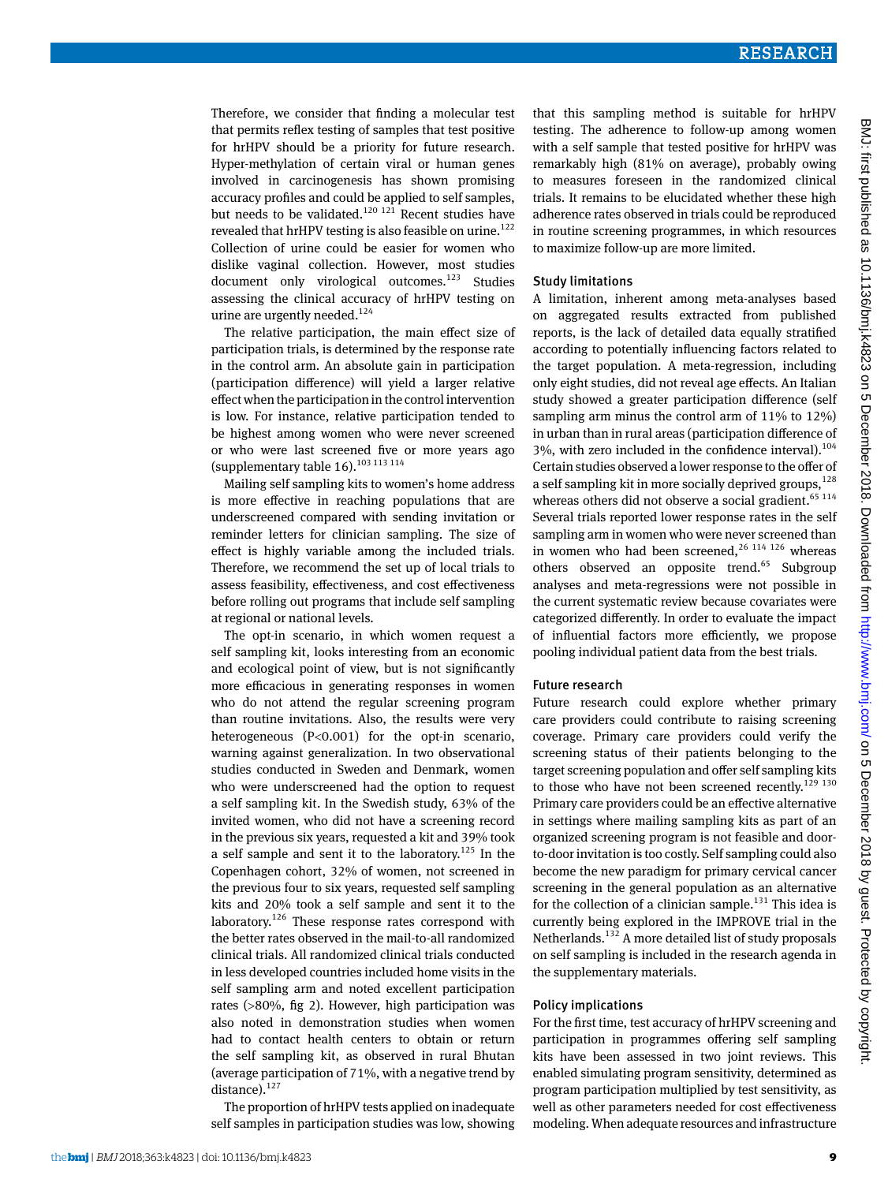Therefore, we consider that finding a molecular test that permits reflex testing of samples that test positive for hrHPV should be a priority for future research. Hyper-methylation of certain viral or human genes involved in carcinogenesis has shown promising accuracy profiles and could be applied to self samples, but needs to be validated.<sup>120 121</sup> Recent studies have revealed that hrHPV testing is also feasible on urine.<sup>122</sup> Collection of urine could be easier for women who dislike vaginal collection. However, most studies document only virological outcomes.<sup>123</sup> Studies assessing the clinical accuracy of hrHPV testing on urine are urgently needed. $124$ 

The relative participation, the main effect size of participation trials, is determined by the response rate in the control arm. An absolute gain in participation (participation difference) will yield a larger relative effect when the participation in the control intervention is low. For instance, relative participation tended to be highest among women who were never screened or who were last screened five or more years ago (supplementary table 16).<sup>103 113 114</sup>

Mailing self sampling kits to women's home address is more effective in reaching populations that are underscreened compared with sending invitation or reminder letters for clinician sampling. The size of effect is highly variable among the included trials. Therefore, we recommend the set up of local trials to assess feasibility, effectiveness, and cost effectiveness before rolling out programs that include self sampling at regional or national levels.

The opt-in scenario, in which women request a self sampling kit, looks interesting from an economic and ecological point of view, but is not significantly more efficacious in generating responses in women who do not attend the regular screening program than routine invitations. Also, the results were very heterogeneous (P<0.001) for the opt-in scenario, warning against generalization. In two observational studies conducted in Sweden and Denmark, women who were underscreened had the option to request a self sampling kit. In the Swedish study, 63% of the invited women, who did not have a screening record in the previous six years, requested a kit and 39% took a self sample and sent it to the laboratory.<sup>125</sup> In the Copenhagen cohort, 32% of women, not screened in the previous four to six years, requested self sampling kits and 20% took a self sample and sent it to the laboratory. $126$  These response rates correspond with the better rates observed in the mail-to-all randomized clinical trials. All randomized clinical trials conducted in less developed countries included home visits in the self sampling arm and noted excellent participation rates (>80%, fig 2). However, high participation was also noted in demonstration studies when women had to contact health centers to obtain or return the self sampling kit, as observed in rural Bhutan (average participation of 71%, with a negative trend by distance). $127$ 

The proportion of hrHPV tests applied on inadequate self samples in participation studies was low, showing that this sampling method is suitable for hrHPV testing. The adherence to follow-up among women with a self sample that tested positive for hrHPV was remarkably high (81% on average), probably owing to measures foreseen in the randomized clinical trials. It remains to be elucidated whether these high adherence rates observed in trials could be reproduced in routine screening programmes, in which resources to maximize follow-up are more limited.

#### Study limitations

A limitation, inherent among meta-analyses based on aggregated results extracted from published reports, is the lack of detailed data equally stratified according to potentially influencing factors related to the target population. A meta-regression, including only eight studies, did not reveal age effects. An Italian study showed a greater participation difference (self sampling arm minus the control arm of 11% to 12%) in urban than in rural areas (participation difference of 3%, with zero included in the confidence interval). $104$ Certain studies observed a lower response to the offer of a self sampling kit in more socially deprived groups,  $128$ whereas others did not observe a social gradient.<sup>65 114</sup> Several trials reported lower response rates in the self sampling arm in women who were never screened than in women who had been screened,  $26$  114 126 whereas others observed an opposite trend.<sup>65</sup> Subgroup analyses and meta-regressions were not possible in the current systematic review because covariates were categorized differently. In order to evaluate the impact of influential factors more efficiently, we propose pooling individual patient data from the best trials.

#### Future research

Future research could explore whether primary care providers could contribute to raising screening coverage. Primary care providers could verify the screening status of their patients belonging to the target screening population and offer self sampling kits to those who have not been screened recently.<sup>129 130</sup> Primary care providers could be an effective alternative in settings where mailing sampling kits as part of an organized screening program is not feasible and doorto-door invitation is too costly. Self sampling could also become the new paradigm for primary cervical cancer screening in the general population as an alternative for the collection of a clinician sample.<sup>131</sup> This idea is currently being explored in the IMPROVE trial in the Netherlands.<sup>132</sup> A more detailed list of study proposals on self sampling is included in the research agenda in the supplementary materials.

## Policy implications

For the first time, test accuracy of hrHPV screening and participation in programmes offering self sampling kits have been assessed in two joint reviews. This enabled simulating program sensitivity, determined as program participation multiplied by test sensitivity, as well as other parameters needed for cost effectiveness modeling. When adequate resources and infrastructure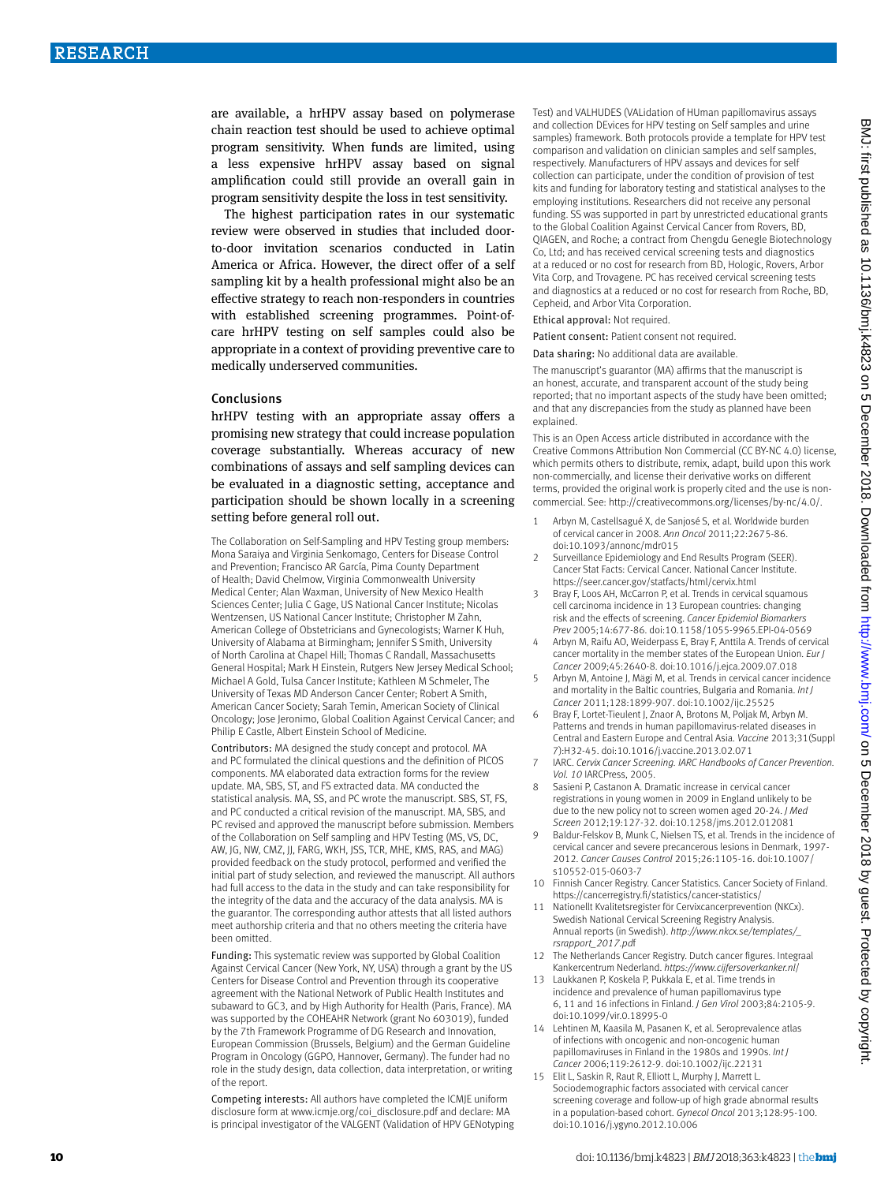are available, a hrHPV assay based on polymerase chain reaction test should be used to achieve optimal program sensitivity. When funds are limited, using a less expensive hrHPV assay based on signal amplification could still provide an overall gain in program sensitivity despite the loss in test sensitivity.

The highest participation rates in our systematic review were observed in studies that included doorto-door invitation scenarios conducted in Latin America or Africa. However, the direct offer of a self sampling kit by a health professional might also be an effective strategy to reach non-responders in countries with established screening programmes. Point-ofcare hrHPV testing on self samples could also be appropriate in a context of providing preventive care to medically underserved communities.

#### Conclusions

hrHPV testing with an appropriate assay offers a promising new strategy that could increase population coverage substantially. Whereas accuracy of new combinations of assays and self sampling devices can be evaluated in a diagnostic setting, acceptance and participation should be shown locally in a screening setting before general roll out.

The Collaboration on Self-Sampling and HPV Testing group members: Mona Saraiya and Virginia Senkomago, Centers for Disease Control and Prevention; Francisco AR García, Pima County Department of Health; David Chelmow, Virginia Commonwealth University Medical Center; Alan Waxman, University of New Mexico Health Sciences Center; Julia C Gage, US National Cancer Institute; Nicolas Wentzensen, US National Cancer Institute; Christopher M Zahn, American College of Obstetricians and Gynecologists; Warner K Huh, University of Alabama at Birmingham; Jennifer S Smith, University of North Carolina at Chapel Hill; Thomas C Randall, Massachusetts General Hospital; Mark H Einstein, Rutgers New Jersey Medical School; Michael A Gold, Tulsa Cancer Institute; Kathleen M Schmeler, The University of Texas MD Anderson Cancer Center; Robert A Smith, American Cancer Society; Sarah Temin, American Society of Clinical Oncology; Jose Jeronimo, Global Coalition Against Cervical Cancer; and Philip E Castle, Albert Einstein School of Medicine.

Contributors: MA designed the study concept and protocol. MA and PC formulated the clinical questions and the definition of PICOS components. MA elaborated data extraction forms for the review update. MA, SBS, ST, and FS extracted data. MA conducted the statistical analysis. MA, SS, and PC wrote the manuscript. SBS, ST, FS, and PC conducted a critical revision of the manuscript. MA, SBS, and PC revised and approved the manuscript before submission. Members of the Collaboration on Self sampling and HPV Testing (MS, VS, DC, AW, JG, NW, CMZ, JJ, FARG, WKH, JSS, TCR, MHE, KMS, RAS, and MAG) provided feedback on the study protocol, performed and verified the initial part of study selection, and reviewed the manuscript. All authors had full access to the data in the study and can take responsibility for the integrity of the data and the accuracy of the data analysis. MA is the guarantor. The corresponding author attests that all listed authors meet authorship criteria and that no others meeting the criteria have been omitted.

Funding: This systematic review was supported by Global Coalition Against Cervical Cancer (New York, NY, USA) through a grant by the US Centers for Disease Control and Prevention through its cooperative agreement with the National Network of Public Health Institutes and subaward to GC3, and by High Authority for Health (Paris, France). MA was supported by the COHEAHR Network (grant No 603019), funded by the 7th Framework Programme of DG Research and Innovation, European Commission (Brussels, Belgium) and the German Guideline Program in Oncology (GGPO, Hannover, Germany). The funder had no role in the study design, data collection, data interpretation, or writing of the report.

Competing interests: All authors have completed the ICMJE uniform disclosure form at [www.icmje.org/coi\\_disclosure.pdf](http://www.icmje.org/coi_disclosure.pdf) and declare: MA is principal investigator of the VALGENT (Validation of HPV GENotyping Test) and VALHUDES (VALidation of HUman papillomavirus assays and collection DEvices for HPV testing on Self samples and urine samples) framework. Both protocols provide a template for HPV test comparison and validation on clinician samples and self samples, respectively. Manufacturers of HPV assays and devices for self collection can participate, under the condition of provision of test kits and funding for laboratory testing and statistical analyses to the employing institutions. Researchers did not receive any personal funding. SS was supported in part by unrestricted educational grants to the Global Coalition Against Cervical Cancer from Rovers, BD, QIAGEN, and Roche; a contract from Chengdu Genegle Biotechnology Co, Ltd; and has received cervical screening tests and diagnostics at a reduced or no cost for research from BD, Hologic, Rovers, Arbor Vita Corp, and Trovagene. PC has received cervical screening tests and diagnostics at a reduced or no cost for research from Roche, BD, Cepheid, and Arbor Vita Corporation.

Ethical approval: Not required.

Patient consent: Patient consent not required.

Data sharing: No additional data are available.

The manuscript's guarantor (MA) affirms that the manuscript is an honest, accurate, and transparent account of the study being reported; that no important aspects of the study have been omitted; and that any discrepancies from the study as planned have been explained.

This is an Open Access article distributed in accordance with the Creative Commons Attribution Non Commercial (CC BY-NC 4.0) license, which permits others to distribute, remix, adapt, build upon this work non-commercially, and license their derivative works on different terms, provided the original work is properly cited and the use is noncommercial. See:<http://creativecommons.org/licenses/by-nc/4.0/>.

- 1 Arbyn M, Castellsagué X, de Sanjosé S, et al. Worldwide burden of cervical cancer in 2008. *Ann Oncol* 2011;22:2675-86. doi:10.1093/annonc/mdr015
- 2 Surveillance Epidemiology and End Results Program (SEER). Cancer Stat Facts: Cervical Cancer. National Cancer Institute. <https://seer.cancer.gov/statfacts/html/cervix.html>
- 3 Bray F, Loos AH, McCarron P, et al. Trends in cervical squamous cell carcinoma incidence in 13 European countries: changing risk and the effects of screening. *Cancer Epidemiol Biomarkers Prev* 2005;14:677-86. doi:10.1158/1055-9965.EPI-04-0569
- Arbyn M, Raifu AO, Weiderpass E, Bray F, Anttila A. Trends of cervical cancer mortality in the member states of the European Union. *Eur J Cancer* 2009;45:2640-8. doi:10.1016/j.ejca.2009.07.018
- 5 Arbyn M, Antoine J, Mägi M, et al. Trends in cervical cancer incidence and mortality in the Baltic countries, Bulgaria and Romania. *Int J Cancer* 2011;128:1899-907. doi:10.1002/ijc.25525
- 6 Bray F, Lortet-Tieulent J, Znaor A, Brotons M, Poljak M, Arbyn M. Patterns and trends in human papillomavirus-related diseases in Central and Eastern Europe and Central Asia. *Vaccine* 2013;31(Suppl 7):H32-45. doi:10.1016/j.vaccine.2013.02.071
- 7 IARC. *Cervix Cancer Screening. IARC Handbooks of Cancer Prevention. Vol. 10* IARCPress, 2005.
- 8 Sasieni P, Castanon A. Dramatic increase in cervical cancer registrations in young women in 2009 in England unlikely to be due to the new policy not to screen women aged 20-24. *J Med Screen* 2012;19:127-32. doi:10.1258/jms.2012.012081
- 9 Baldur-Felskov B, Munk C, Nielsen TS, et al. Trends in the incidence of cervical cancer and severe precancerous lesions in Denmark, 1997- 2012. *Cancer Causes Control* 2015;26:1105-16. doi:10.1007/ s10552-015-0603-7
- 10 Finnish Cancer Registry. Cancer Statistics. Cancer Society of Finland. <https://cancerregistry.fi/statistics/cancer-statistics/>
- 11 Nationellt Kvalitetsregister för Cervixcancerprevention (NKCx). Swedish National Cervical Screening Registry Analysis. Annual reports (in Swedish). *http://www.nkcx.se/templates/\_ rsrapport\_2017.pd*f
- 12 The Netherlands Cancer Registry. Dutch cancer figures. Integraal Kankercentrum Nederland. *https://www.cijfersoverkanker.nl*/
- 13 Laukkanen P, Koskela P, Pukkala E, et al. Time trends in incidence and prevalence of human papillomavirus type 6, 11 and 16 infections in Finland. *J Gen Virol* 2003;84:2105-9. doi:10.1099/vir.0.18995-0
- 14 Lehtinen M, Kaasila M, Pasanen K, et al. Seroprevalence atlas of infections with oncogenic and non-oncogenic human papillomaviruses in Finland in the 1980s and 1990s. *Int J Cancer* 2006;119:2612-9. doi:10.1002/ijc.22131
- 15 Elit L, Saskin R, Raut R, Elliott L, Murphy J, Marrett L. Sociodemographic factors associated with cervical cancer screening coverage and follow-up of high grade abnormal results in a population-based cohort. *Gynecol Oncol* 2013;128:95-100. doi:10.1016/j.ygyno.2012.10.006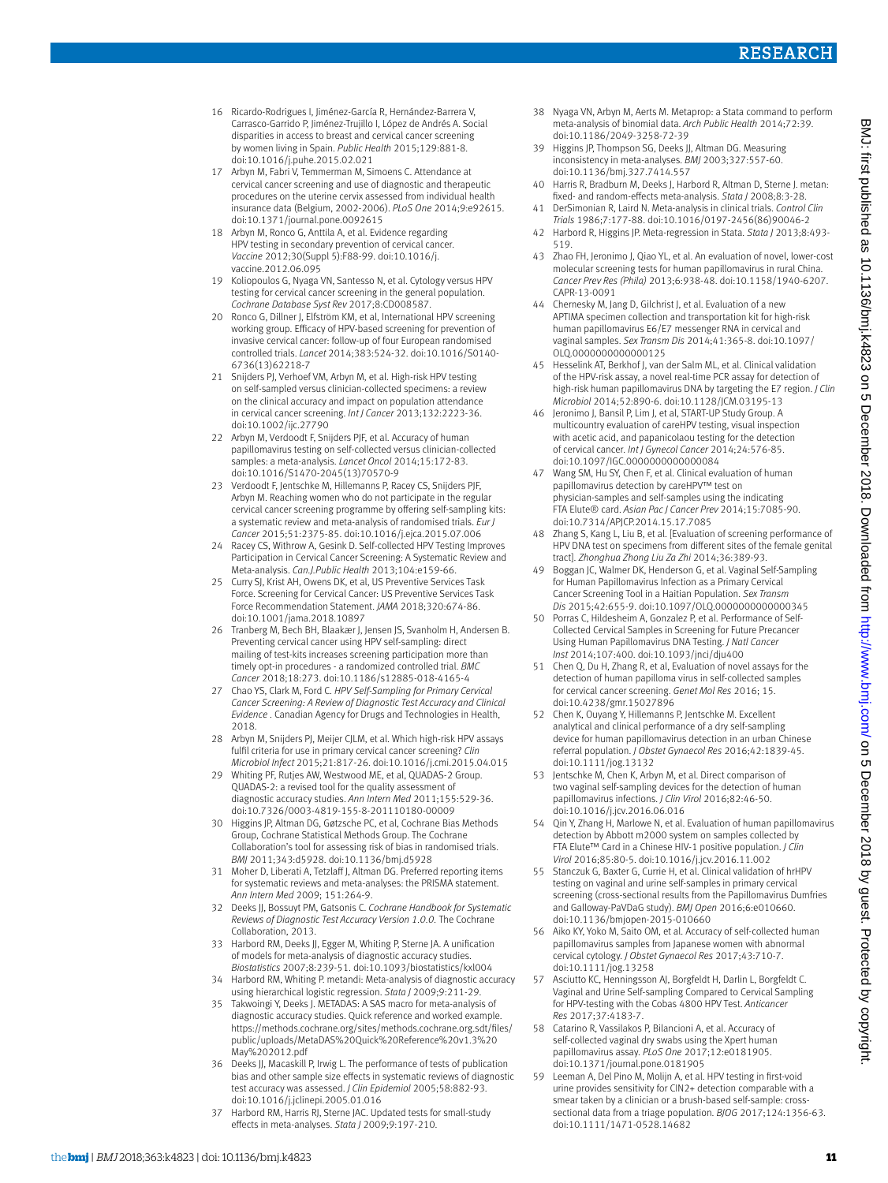- 16 Ricardo-Rodrigues I, Jiménez-García R, Hernández-Barrera V, Carrasco-Garrido P, Jiménez-Trujillo I, López de Andrés A. Social disparities in access to breast and cervical cancer screening by women living in Spain. *Public Health* 2015;129:881-8. doi:10.1016/j.puhe.2015.02.021
- 17 Arbyn M, Fabri V, Temmerman M, Simoens C. Attendance at cervical cancer screening and use of diagnostic and therapeutic procedures on the uterine cervix assessed from individual health insurance data (Belgium, 2002-2006). *PLoS One* 2014;9:e92615. doi:10.1371/journal.pone.0092615
- 18 Arbyn M, Ronco G, Anttila A, et al. Evidence regarding HPV testing in secondary prevention of cervical cancer. *Vaccine* 2012;30(Suppl 5):F88-99. doi:10.1016/j. vaccine.2012.06.095
- 19 Koliopoulos G, Nyaga VN, Santesso N, et al. Cytology versus HPV testing for cervical cancer screening in the general population. *Cochrane Database Syst Rev* 2017;8:CD008587.
- 20 Ronco G, Dillner I, Elfström KM, et al, International HPV screening working group. Efficacy of HPV-based screening for prevention of invasive cervical cancer: follow-up of four European randomised controlled trials. *Lancet* 2014;383:524-32. doi:10.1016/S0140- 6736(13)62218-7
- 21 Snijders PJ, Verhoef VM, Arbyn M, et al. High-risk HPV testing on self-sampled versus clinician-collected specimens: a review on the clinical accuracy and impact on population attendance in cervical cancer screening. *Int J Cancer* 2013;132:2223-36. doi:10.1002/ijc.27790
- 22 Arbyn M, Verdoodt F, Snijders PJF, et al. Accuracy of human papillomavirus testing on self-collected versus clinician-collected samples: a meta-analysis. *Lancet Oncol* 2014;15:172-83. doi:10.1016/S1470-2045(13)70570-9
- 23 Verdoodt F, Jentschke M, Hillemanns P, Racey CS, Snijders PJF, Arbyn M. Reaching women who do not participate in the regular cervical cancer screening programme by offering self-sampling kits: a systematic review and meta-analysis of randomised trials. *Eur J Cancer* 2015;51:2375-85. doi:10.1016/j.ejca.2015.07.006
- 24 Racey CS, Withrow A, Gesink D. Self-collected HPV Testing Improves Participation in Cervical Cancer Screening: A Systematic Review and Meta-analysis. *Can.J.Public Health* 2013;104:e159-66.
- 25 Curry SJ, Krist AH, Owens DK, et al, US Preventive Services Task Force. Screening for Cervical Cancer: US Preventive Services Task Force Recommendation Statement. *JAMA* 2018;320:674-86. doi:10.1001/jama.2018.10897
- 26 Tranberg M, Bech BH, Blaakær J, Jensen JS, Svanholm H, Andersen B. Preventing cervical cancer using HPV self-sampling: direct mailing of test-kits increases screening participation more than timely opt-in procedures - a randomized controlled trial. *BMC Cancer* 2018;18:273. doi:10.1186/s12885-018-4165-4
- 27 Chao YS, Clark M, Ford C. *HPV Self-Sampling for Primary Cervical Cancer Screening: A Review of Diagnostic Test Accuracy and Clinical Evidence* . Canadian Agency for Drugs and Technologies in Health, 2018.
- 28 Arbyn M, Snijders PJ, Meijer CJLM, et al. Which high-risk HPV assays fulfil criteria for use in primary cervical cancer screening? *Clin Microbiol Infect* 2015;21:817-26. doi:10.1016/j.cmi.2015.04.015
- 29 Whiting PF, Rutjes AW, Westwood ME, et al, QUADAS-2 Group. QUADAS-2: a revised tool for the quality assessment of diagnostic accuracy studies. *Ann Intern Med* 2011;155:529-36. doi:10.7326/0003-4819-155-8-201110180-00009
- 30 Higgins JP, Altman DG, Gøtzsche PC, et al, Cochrane Bias Methods Group, Cochrane Statistical Methods Group. The Cochrane Collaboration's tool for assessing risk of bias in randomised trials. *BMJ* 2011;343:d5928. doi:10.1136/bmj.d5928
- 31 Moher D, Liberati A, Tetzlaff J, Altman DG. Preferred reporting items for systematic reviews and meta-analyses: the PRISMA statement. *Ann Intern Med* 2009; 151:264-9.
- 32 Deeks JJ, Bossuyt PM, Gatsonis C. *Cochrane Handbook for Systematic Reviews of Diagnostic Test Accuracy Version 1.0.0.* The Cochrane Collaboration, 2013.
- 33 Harbord RM, Deeks JJ, Egger M, Whiting P, Sterne JA. A unification of models for meta-analysis of diagnostic accuracy studies. *Biostatistics* 2007;8:239-51. doi:10.1093/biostatistics/kxl004
- 34 Harbord RM, Whiting P. metandi: Meta-analysis of diagnostic accuracy using hierarchical logistic regression. *Stata J* 2009;9:211-29.
- 35 Takwoingi Y, Deeks J. METADAS: A SAS macro for meta-analysis of diagnostic accuracy studies. Quick reference and worked example. https://methods.cochrane.org/sites/methods.cochrane.org.sdt/files/ public/uploads/MetaDAS%20Quick%20Reference%20v1.3%20 May%202012.pdf
- Deeks JJ, Macaskill P, Irwig L. The performance of tests of publication bias and other sample size effects in systematic reviews of diagnostic test accuracy was assessed. *J Clin Epidemiol* 2005;58:882-93. doi:10.1016/j.jclinepi.2005.01.016
- 37 Harbord RM, Harris RJ, Sterne JAC. Updated tests for small-study effects in meta-analyses. *Stata J* 2009;9:197-210.
- 38 Nyaga VN, Arbyn M, Aerts M. Metaprop: a Stata command to perform meta-analysis of binomial data. *Arch Public Health* 2014;72:39. doi:10.1186/2049-3258-72-39
- 39 Higgins JP, Thompson SG, Deeks JJ, Altman DG. Measuring inconsistency in meta-analyses. *BMJ* 2003;327:557-60. doi:10.1136/bmj.327.7414.557
- 40 Harris R, Bradburn M, Deeks J, Harbord R, Altman D, Sterne J. metan: fixed- and random-effects meta-analysis. *Stata J* 2008;8:3-28.
- 41 DerSimonian R, Laird N. Meta-analysis in clinical trials. *Control Clin Trials* 1986;7:177-88. doi:10.1016/0197-2456(86)90046-2
- 42 Harbord R, Higgins JP. Meta-regression in Stata. *Stata J* 2013;8:493- 519.
- 43 Zhao FH, Jeronimo J, Qiao YL, et al. An evaluation of novel, lower-cost molecular screening tests for human papillomavirus in rural China. *Cancer Prev Res (Phila)* 2013;6:938-48. doi:10.1158/1940-6207. CAPR-13-0091
- 44 Chernesky M, Jang D, Gilchrist J, et al. Evaluation of a new APTIMA specimen collection and transportation kit for high-risk human papillomavirus E6/E7 messenger RNA in cervical and vaginal samples. *Sex Transm Dis* 2014;41:365-8. doi:10.1097/ OLQ.0000000000000125
- 45 Hesselink AT, Berkhof J, van der Salm ML, et al. Clinical validation of the HPV-risk assay, a novel real-time PCR assay for detection of high-risk human papillomavirus DNA by targeting the E7 region. *J Clin Microbiol* 2014;52:890-6. doi:10.1128/JCM.03195-13
- 46 Jeronimo J, Bansil P, Lim J, et al, START-UP Study Group. A multicountry evaluation of careHPV testing, visual inspection with acetic acid, and papanicolaou testing for the detection of cervical cancer. *Int J Gynecol Cancer* 2014;24:576-85. doi:10.1097/IGC.0000000000000084
- Wang SM, Hu SY, Chen F, et al. Clinical evaluation of human papillomavirus detection by careHPV™ test on physician-samples and self-samples using the indicating FTA Elute® card. *Asian Pac J Cancer Prev* 2014;15:7085-90. doi:10.7314/APJCP.2014.15.17.7085
- 48 Zhang S, Kang L, Liu B, et al. [Evaluation of screening performance of HPV DNA test on specimens from different sites of the female genital tract]. *Zhonghua Zhong Liu Za Zhi* 2014;36:389-93.
- 49 Boggan JC, Walmer DK, Henderson G, et al. Vaginal Self-Sampling for Human Papillomavirus Infection as a Primary Cervical Cancer Screening Tool in a Haitian Population. *Sex Transm Dis* 2015;42:655-9. doi:10.1097/OLQ.0000000000000345
- Porras C, Hildesheim A, Gonzalez P, et al. Performance of Self-Collected Cervical Samples in Screening for Future Precancer Using Human Papillomavirus DNA Testing. *J Natl Cancer Inst* 2014;107:400. doi:10.1093/jnci/dju400
- 51 Chen Q, Du H, Zhang R, et al, Evaluation of novel assays for the detection of human papilloma virus in self-collected samples for cervical cancer screening. *Genet Mol Res* 2016; 15. doi:10.4238/gmr.15027896
- 52 Chen K, Ouyang Y, Hillemanns P, Jentschke M. Excellent analytical and clinical performance of a dry self-sampling device for human papillomavirus detection in an urban Chinese referral population. *J Obstet Gynaecol Res* 2016;42:1839-45. doi:10.1111/jog.13132
- 53 Jentschke M, Chen K, Arbyn M, et al. Direct comparison of two vaginal self-sampling devices for the detection of human papillomavirus infections. *J Clin Virol* 2016;82:46-50. doi:10.1016/j.jcv.2016.06.016
- 54 Qin Y, Zhang H, Marlowe N, et al. Evaluation of human papillomavirus detection by Abbott m2000 system on samples collected by FTA Elute™ Card in a Chinese HIV-1 positive population. *J Clin Virol* 2016;85:80-5. doi:10.1016/j.jcv.2016.11.002
- 55 Stanczuk G, Baxter G, Currie H, et al. Clinical validation of hrHPV testing on vaginal and urine self-samples in primary cervical screening (cross-sectional results from the Papillomavirus Dumfries and Galloway-PaVDaG study). *BMJ Open* 2016;6:e010660. doi:10.1136/bmjopen-2015-010660
- 56 Aiko KY, Yoko M, Saito OM, et al. Accuracy of self-collected human papillomavirus samples from Japanese women with abnormal cervical cytology. *J Obstet Gynaecol Res* 2017;43:710-7. doi:10.1111/jog.13258
- 57 Asciutto KC, Henningsson AJ, Borgfeldt H, Darlin L, Borgfeldt C. Vaginal and Urine Self-sampling Compared to Cervical Sampling for HPV-testing with the Cobas 4800 HPV Test. *Anticancer Res* 2017;37:4183-7.
- 58 Catarino R, Vassilakos P, Bilancioni A, et al. Accuracy of self-collected vaginal dry swabs using the Xpert human papillomavirus assay. *PLoS One* 2017;12:e0181905. doi:10.1371/journal.pone.0181905
- 59 Leeman A, Del Pino M, Molijn A, et al. HPV testing in first-void urine provides sensitivity for CIN2+ detection comparable with a smear taken by a clinician or a brush-based self-sample: crosssectional data from a triage population. *BJOG* 2017;124:1356-63. doi:10.1111/1471-0528.14682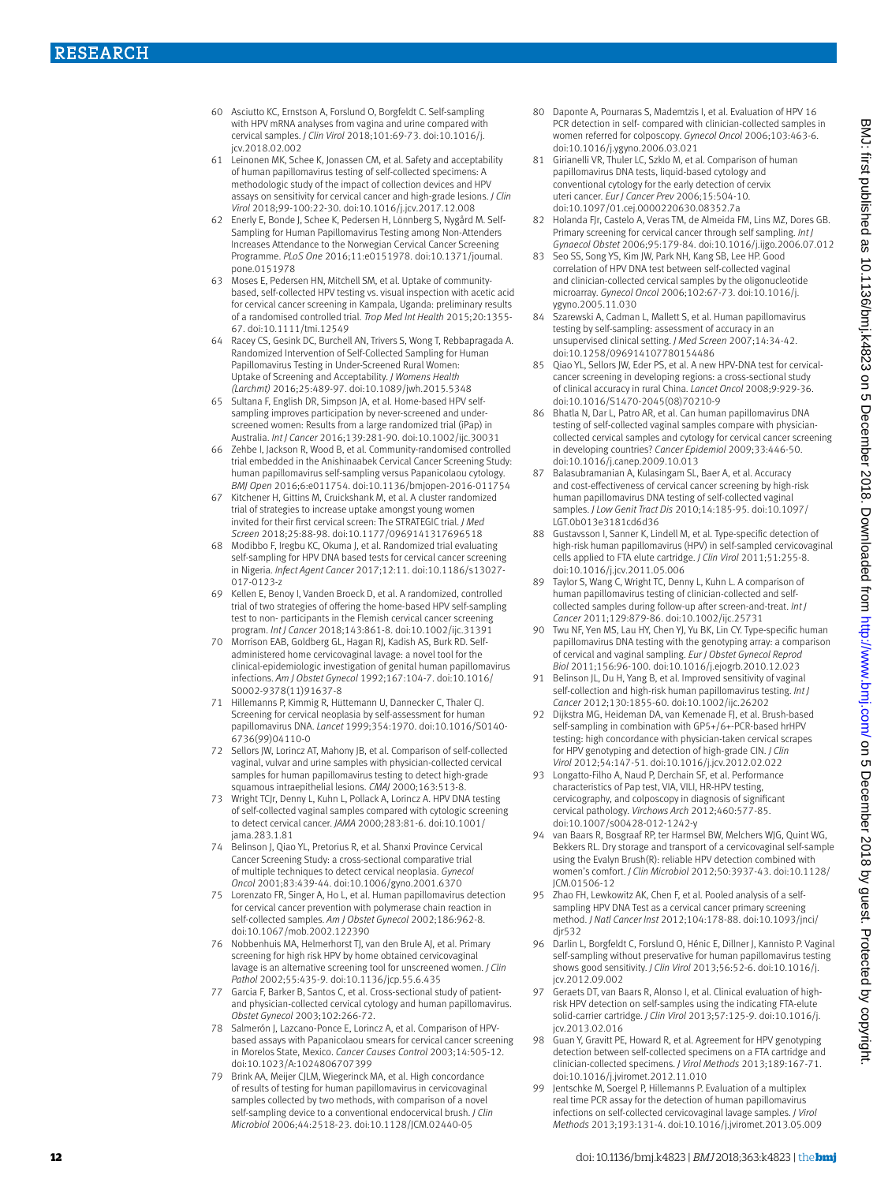- 60 Asciutto KC, Ernstson A, Forslund O, Borgfeldt C. Self-sampling with HPV mRNA analyses from vagina and urine compared with cervical samples. *J Clin Virol* 2018;101:69-73. doi:10.1016/j. jcv.2018.02.002
- 61 Leinonen MK, Schee K, Jonassen CM, et al. Safety and acceptability of human papillomavirus testing of self-collected specimens: A methodologic study of the impact of collection devices and HPV assays on sensitivity for cervical cancer and high-grade lesions. *J Clin Virol* 2018;99-100:22-30. doi:10.1016/j.jcv.2017.12.008
- 62 Enerly E, Bonde J, Schee K, Pedersen H, Lönnberg S, Nygård M. Self-Sampling for Human Papillomavirus Testing among Non-Attenders Increases Attendance to the Norwegian Cervical Cancer Screening Programme. *PLoS One* 2016;11:e0151978. doi:10.1371/journal. pone.0151978
- Moses E, Pedersen HN, Mitchell SM, et al. Uptake of communitybased, self-collected HPV testing vs. visual inspection with acetic acid for cervical cancer screening in Kampala, Uganda: preliminary results of a randomised controlled trial. *Trop Med Int Health* 2015;20:1355- 67. doi:10.1111/tmi.12549
- 64 Racey CS, Gesink DC, Burchell AN, Trivers S, Wong T, Rebbapragada A. Randomized Intervention of Self-Collected Sampling for Human Papillomavirus Testing in Under-Screened Rural Women: Uptake of Screening and Acceptability. *J Womens Health (Larchmt)* 2016;25:489-97. doi:10.1089/jwh.2015.5348
- 65 Sultana F, English DR, Simpson JA, et al. Home-based HPV selfsampling improves participation by never-screened and underscreened women: Results from a large randomized trial (iPap) in Australia. *Int J Cancer* 2016;139:281-90. doi:10.1002/ijc.30031
- Zehbe I, Jackson R, Wood B, et al. Community-randomised controlled trial embedded in the Anishinaabek Cervical Cancer Screening Study: human papillomavirus self-sampling versus Papanicolaou cytology. *BMJ Open* 2016;6:e011754. doi:10.1136/bmjopen-2016-011754
- 67 Kitchener H, Gittins M, Cruickshank M, et al. A cluster randomized trial of strategies to increase uptake amongst young women invited for their first cervical screen: The STRATEGIC trial. *J Med Screen* 2018;25:88-98. doi:10.1177/0969141317696518
- 68 Modibbo F, Iregbu KC, Okuma J, et al. Randomized trial evaluating self-sampling for HPV DNA based tests for cervical cancer screening in Nigeria. *Infect Agent Cancer* 2017;12:11. doi:10.1186/s13027- 017-0123-z
- 69 Kellen E, Benoy I, Vanden Broeck D, et al. A randomized, controlled trial of two strategies of offering the home-based HPV self-sampling test to non- participants in the Flemish cervical cancer screening program. *Int J Cancer* 2018;143:861-8. doi:10.1002/ijc.31391
- 70 Morrison EAB, Goldberg GL, Hagan RJ, Kadish AS, Burk RD. Selfadministered home cervicovaginal lavage: a novel tool for the clinical-epidemiologic investigation of genital human papillomavirus infections. *Am J Obstet Gynecol* 1992;167:104-7. doi:10.1016/ S0002-9378(11)91637-8
- 71 Hillemanns P, Kimmig R, Hüttemann U, Dannecker C, Thaler CJ. Screening for cervical neoplasia by self-assessment for human papillomavirus DNA. *Lancet* 1999;354:1970. doi:10.1016/S0140- 6736(99)04110-0
- 72 Sellors JW, Lorincz AT, Mahony JB, et al. Comparison of self-collected vaginal, vulvar and urine samples with physician-collected cervical samples for human papillomavirus testing to detect high-grade squamous intraepithelial lesions. *CMAJ* 2000;163:513-8.
- 73 Wright TCJr, Denny L, Kuhn L, Pollack A, Lorincz A. HPV DNA testing of self-collected vaginal samples compared with cytologic screening to detect cervical cancer. *JAMA* 2000;283:81-6. doi:10.1001/ ama.283.1.81
- 74 Belinson J, Qiao YL, Pretorius R, et al. Shanxi Province Cervical Cancer Screening Study: a cross-sectional comparative trial of multiple techniques to detect cervical neoplasia. *Gynecol Oncol* 2001;83:439-44. doi:10.1006/gyno.2001.6370
- 75 Lorenzato FR, Singer A, Ho L, et al. Human papillomavirus detection for cervical cancer prevention with polymerase chain reaction in self-collected samples. *Am J Obstet Gynecol* 2002;186:962-8. doi:10.1067/mob.2002.122390
- 76 Nobbenhuis MA, Helmerhorst TJ, van den Brule AJ, et al. Primary screening for high risk HPV by home obtained cervicovaginal lavage is an alternative screening tool for unscreened women. *J Clin Pathol* 2002;55:435-9. doi:10.1136/jcp.55.6.435
- 77 Garcia F, Barker B, Santos C, et al. Cross-sectional study of patientand physician-collected cervical cytology and human papillomavirus. *Obstet Gynecol* 2003;102:266-72.
- 78 Salmerón J, Lazcano-Ponce E, Lorincz A, et al. Comparison of HPVbased assays with Papanicolaou smears for cervical cancer screening in Morelos State, Mexico. *Cancer Causes Control* 2003;14:505-12. doi:10.1023/A:1024806707399
- 79 Brink AA, Meijer CJLM, Wiegerinck MA, et al. High concordance of results of testing for human papillomavirus in cervicovaginal samples collected by two methods, with comparison of a novel self-sampling device to a conventional endocervical brush. *J Clin Microbiol* 2006;44:2518-23. doi:10.1128/JCM.02440-05
- 80 Daponte A, Pournaras S, Mademtzis L et al. Evaluation of HPV 16 PCR detection in self- compared with clinician-collected samples in women referred for colposcopy. *Gynecol Oncol* 2006;103:463-6. doi:10.1016/j.ygyno.2006.03.021
- 81 Girianelli VR, Thuler LC, Szklo M, et al. Comparison of human papillomavirus DNA tests, liquid-based cytology and conventional cytology for the early detection of cervix uteri cancer. *Eur J Cancer Prev* 2006;15:504-10. doi:10.1097/01.cej.0000220630.08352.7a
- 82 Holanda FJr, Castelo A, Veras TM, de Almeida FM, Lins MZ, Dores GB. Primary screening for cervical cancer through self sampling. *Int J Gynaecol Obstet* 2006;95:179-84. doi:10.1016/j.ijgo.2006.07.012
- 83 Seo SS, Song YS, Kim JW, Park NH, Kang SB, Lee HP. Good correlation of HPV DNA test between self-collected vaginal and clinician-collected cervical samples by the oligonucleotide microarray. *Gynecol Oncol* 2006;102:67-73. doi:10.1016/j. ygyno.2005.11.030
- 84 Szarewski A, Cadman L, Mallett S, et al. Human papillomavirus testing by self-sampling: assessment of accuracy in an unsupervised clinical setting. *J Med Screen* 2007;14:34-42. doi:10.1258/096914107780154486
- 85 Qiao YL, Sellors JW, Eder PS, et al. A new HPV-DNA test for cervicalcancer screening in developing regions: a cross-sectional study of clinical accuracy in rural China. *Lancet Oncol* 2008;9:929-36. doi:10.1016/S1470-2045(08)70210-9
- 86 Bhatla N, Dar L, Patro AR, et al. Can human papillomavirus DNA testing of self-collected vaginal samples compare with physiciancollected cervical samples and cytology for cervical cancer screening in developing countries? *Cancer Epidemiol* 2009;33:446-50. doi:10.1016/j.canep.2009.10.013
- Balasubramanian A, Kulasingam SL, Baer A, et al. Accuracy and cost-effectiveness of cervical cancer screening by high-risk human papillomavirus DNA testing of self-collected vaginal samples. *J Low Genit Tract Dis* 2010;14:185-95. doi:10.1097/ LGT.0b013e3181cd6d36
- 88 Gustavsson I, Sanner K, Lindell M, et al. Type-specific detection of high-risk human papillomavirus (HPV) in self-sampled cervicovaginal cells applied to FTA elute cartridge. *J Clin Virol* 2011;51:255-8. doi:10.1016/j.jcv.2011.05.006
- 89 Taylor S, Wang C, Wright TC, Denny L, Kuhn L. A comparison of human papillomavirus testing of clinician-collected and selfcollected samples during follow-up after screen-and-treat. *Int J Cancer* 2011;129:879-86. doi:10.1002/ijc.25731
- 90 Twu NF, Yen MS, Lau HY, Chen YJ, Yu BK, Lin CY. Type-specific human papillomavirus DNA testing with the genotyping array: a comparison of cervical and vaginal sampling. *Eur J Obstet Gynecol Reprod Biol* 2011;156:96-100. doi:10.1016/j.ejogrb.2010.12.023
- 91 Belinson IL, Du H, Yang B, et al. Improved sensitivity of vaginal self-collection and high-risk human papillomavirus testing. *Int J Cancer* 2012;130:1855-60. doi:10.1002/ijc.26202
- 92 Dijkstra MG, Heideman DA, van Kemenade FJ, et al. Brush-based self-sampling in combination with GP5+/6+-PCR-based hrHPV testing: high concordance with physician-taken cervical scrapes for HPV genotyping and detection of high-grade CIN. *J Clin Virol* 2012;54:147-51. doi:10.1016/j.jcv.2012.02.022
- 93 Longatto-Filho A, Naud P, Derchain SF, et al. Performance characteristics of Pap test, VIA, VILI, HR-HPV testing, cervicography, and colposcopy in diagnosis of significant cervical pathology. *Virchows Arch* 2012;460:577-85. doi:10.1007/s00428-012-1242-y
- 94 van Baars R, Bosgraaf RP, ter Harmsel BW, Melchers WJG, Quint WG, Bekkers RL. Dry storage and transport of a cervicovaginal self-sample using the Evalyn Brush(R): reliable HPV detection combined with women's comfort. *J Clin Microbiol* 2012;50:3937-43. doi:10.1128/ JCM.01506-12
- 95 Zhao FH, Lewkowitz AK, Chen F, et al. Pooled analysis of a selfsampling HPV DNA Test as a cervical cancer primary screening method. *J Natl Cancer Inst* 2012;104:178-88. doi:10.1093/jnci/ dir532
- 96 Darlin L, Borgfeldt C, Forslund O, Hénic E, Dillner I, Kannisto P, Vaginal self-sampling without preservative for human papillomavirus testing shows good sensitivity. *J Clin Virol* 2013;56:52-6. doi:10.1016/j. jcv.2012.09.002
- 97 Geraets DT, van Baars R, Alonso I, et al. Clinical evaluation of highrisk HPV detection on self-samples using the indicating FTA-elute solid-carrier cartridge. *J Clin Virol* 2013;57:125-9. doi:10.1016/j. jcv.2013.02.016
- 98 Guan Y, Gravitt PE, Howard R, et al. Agreement for HPV genotyping detection between self-collected specimens on a FTA cartridge and clinician-collected specimens. *J Virol Methods* 2013;189:167-71. doi:10.1016/j.jviromet.2012.11.010
- 99 Jentschke M, Soergel P, Hillemanns P. Evaluation of a multiplex real time PCR assay for the detection of human papillomavirus infections on self-collected cervicovaginal lavage samples. *J Virol Methods* 2013;193:131-4. doi:10.1016/j.jviromet.2013.05.009